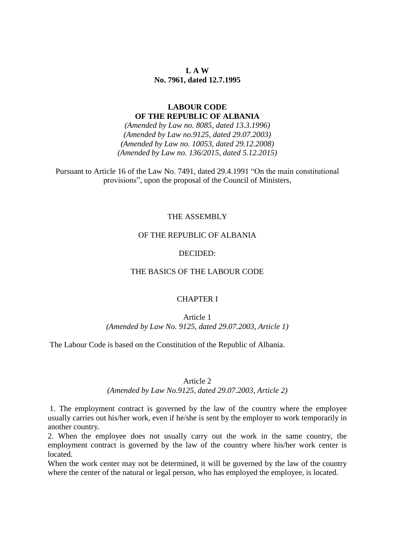# **L A W No. 7961, dated 12.7.1995**

# **LABOUR CODE OF THE REPUBLIC OF ALBANIA**

*(Amended by Law no. 8085, dated 13.3.1996) (Amended by Law no.9125, dated 29.07.2003) (Amended by Law no. 10053, dated 29.12.2008) (Amended by Law no. 136/2015, dated 5.12.2015)*

Pursuant to Article 16 of the Law No. 7491, dated 29.4.1991 "On the main constitutional provisions", upon the proposal of the Council of Ministers,

### THE ASSEMBLY

# OF THE REPUBLIC OF ALBANIA

#### DECIDED:

# THE BASICS OF THE LABOUR CODE

### CHAPTER I

Article 1 *(Amended by Law No. 9125, dated 29.07.2003, Article 1)*

The Labour Code is based on the Constitution of the Republic of Albania.

#### Article 2

#### *(Amended by Law No.9125, dated 29.07.2003, Article 2)*

1. The employment contract is governed by the law of the country where the employee usually carries out his/her work, even if he/she is sent by the employer to work temporarily in another country.

2. When the employee does not usually carry out the work in the same country, the employment contract is governed by the law of the country where his/her work center is located.

When the work center may not be determined, it will be governed by the law of the country where the center of the natural or legal person, who has employed the employee, is located.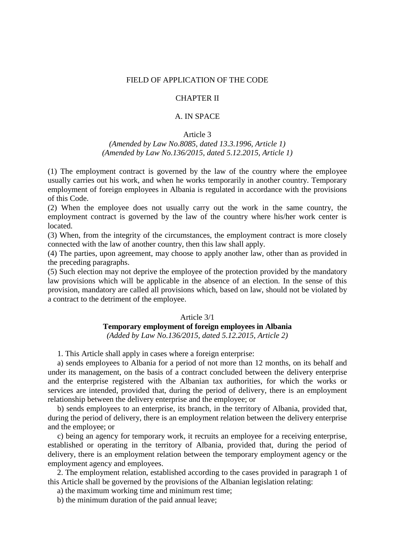### FIELD OF APPLICATION OF THE CODE

# CHAPTER II

# A. IN SPACE

#### Article 3

# *(Amended by Law No.8085, dated 13.3.1996, Article 1) (Amended by Law No.136/2015, dated 5.12.2015, Article 1)*

(1) The employment contract is governed by the law of the country where the employee usually carries out his work, and when he works temporarily in another country. Temporary employment of foreign employees in Albania is regulated in accordance with the provisions of this Code.

(2) When the employee does not usually carry out the work in the same country, the employment contract is governed by the law of the country where his/her work center is located.

(3) When, from the integrity of the circumstances, the employment contract is more closely connected with the law of another country, then this law shall apply.

(4) The parties, upon agreement, may choose to apply another law, other than as provided in the preceding paragraphs.

(5) Such election may not deprive the employee of the protection provided by the mandatory law provisions which will be applicable in the absence of an election. In the sense of this provision, mandatory are called all provisions which, based on law, should not be violated by a contract to the detriment of the employee.

#### Article 3/1

# **Temporary employment of foreign employees in Albania**

*(Added by Law No.136/2015, dated 5.12.2015, Article 2)*

1. This Article shall apply in cases where a foreign enterprise:

a) sends employees to Albania for a period of not more than 12 months, on its behalf and under its management, on the basis of a contract concluded between the delivery enterprise and the enterprise registered with the Albanian tax authorities, for which the works or services are intended, provided that, during the period of delivery, there is an employment relationship between the delivery enterprise and the employee; or

b) sends employees to an enterprise, its branch, in the territory of Albania, provided that, during the period of delivery, there is an employment relation between the delivery enterprise and the employee; or

c) being an agency for temporary work, it recruits an employee for a receiving enterprise, established or operating in the territory of Albania, provided that, during the period of delivery, there is an employment relation between the temporary employment agency or the employment agency and employees.

2. The employment relation, established according to the cases provided in paragraph 1 of this Article shall be governed by the provisions of the Albanian legislation relating:

a) the maximum working time and minimum rest time;

b) the minimum duration of the paid annual leave;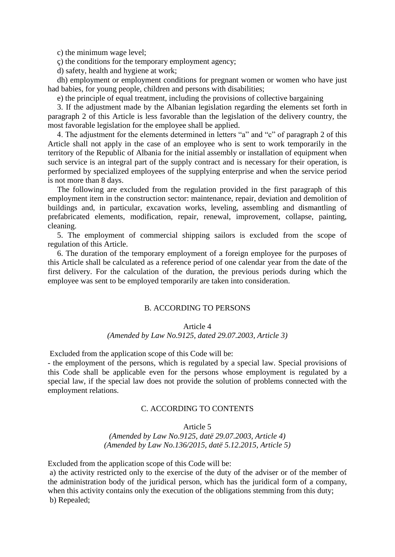c) the minimum wage level;

ç) the conditions for the temporary employment agency;

d) safety, health and hygiene at work;

dh) employment or employment conditions for pregnant women or women who have just had babies, for young people, children and persons with disabilities;

e) the principle of equal treatment, including the provisions of collective bargaining

3. If the adjustment made by the Albanian legislation regarding the elements set forth in paragraph 2 of this Article is less favorable than the legislation of the delivery country, the most favorable legislation for the employee shall be applied.

4. The adjustment for the elements determined in letters "a" and "c" of paragraph 2 of this Article shall not apply in the case of an employee who is sent to work temporarily in the territory of the Republic of Albania for the initial assembly or installation of equipment when such service is an integral part of the supply contract and is necessary for their operation, is performed by specialized employees of the supplying enterprise and when the service period is not more than 8 days.

The following are excluded from the regulation provided in the first paragraph of this employment item in the construction sector: maintenance, repair, deviation and demolition of buildings and, in particular, excavation works, leveling, assembling and dismantling of prefabricated elements, modification, repair, renewal, improvement, collapse, painting, cleaning.

5. The employment of commercial shipping sailors is excluded from the scope of regulation of this Article.

6. The duration of the temporary employment of a foreign employee for the purposes of this Article shall be calculated as a reference period of one calendar year from the date of the first delivery. For the calculation of the duration, the previous periods during which the employee was sent to be employed temporarily are taken into consideration.

# B. ACCORDING TO PERSONS

#### Article 4

### *(Amended by Law No.9125, dated 29.07.2003, Article 3)*

Excluded from the application scope of this Code will be:

- the employment of the persons, which is regulated by a special law. Special provisions of this Code shall be applicable even for the persons whose employment is regulated by a special law, if the special law does not provide the solution of problems connected with the employment relations.

### C. ACCORDING TO CONTENTS

#### Article 5

*(Amended by Law No.9125, datë 29.07.2003, Article 4) (Amended by Law No.136/2015, datë 5.12.2015, Article 5)*

Excluded from the application scope of this Code will be:

a) the activity restricted only to the exercise of the duty of the adviser or of the member of the administration body of the juridical person, which has the juridical form of a company, when this activity contains only the execution of the obligations stemming from this duty; b) Repealed;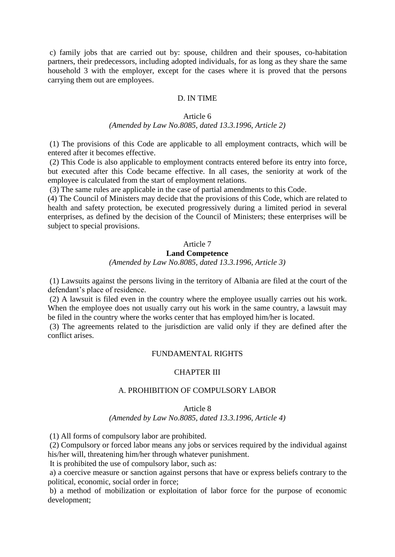c) family jobs that are carried out by: spouse, children and their spouses, co-habitation partners, their predecessors, including adopted individuals, for as long as they share the same household 3 with the employer, except for the cases where it is proved that the persons carrying them out are employees.

### D. IN TIME

#### Article 6

#### *(Amended by Law No.8085, dated 13.3.1996, Article 2)*

(1) The provisions of this Code are applicable to all employment contracts, which will be entered after it becomes effective.

(2) This Code is also applicable to employment contracts entered before its entry into force, but executed after this Code became effective. In all cases, the seniority at work of the employee is calculated from the start of employment relations.

(3) The same rules are applicable in the case of partial amendments to this Code.

(4) The Council of Ministers may decide that the provisions of this Code, which are related to health and safety protection, be executed progressively during a limited period in several enterprises, as defined by the decision of the Council of Ministers; these enterprises will be subject to special provisions.

# Article 7 **Land Competence** *(Amended by Law No.8085, dated 13.3.1996, Article 3)*

(1) Lawsuits against the persons living in the territory of Albania are filed at the court of the defendant's place of residence.

(2) A lawsuit is filed even in the country where the employee usually carries out his work. When the employee does not usually carry out his work in the same country, a lawsuit may be filed in the country where the works center that has employed him/her is located.

(3) The agreements related to the jurisdiction are valid only if they are defined after the conflict arises.

# FUNDAMENTAL RIGHTS

### CHAPTER III

#### A. PROHIBITION OF COMPULSORY LABOR

### Article 8

*(Amended by Law No.8085, dated 13.3.1996, Article 4)*

(1) All forms of compulsory labor are prohibited.

(2) Compulsory or forced labor means any jobs or services required by the individual against his/her will, threatening him/her through whatever punishment.

It is prohibited the use of compulsory labor, such as:

a) a coercive measure or sanction against persons that have or express beliefs contrary to the political, economic, social order in force;

b) a method of mobilization or exploitation of labor force for the purpose of economic development;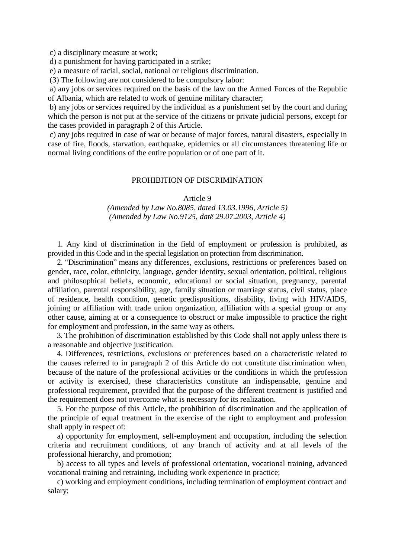c) a disciplinary measure at work;

d) a punishment for having participated in a strike;

e) a measure of racial, social, national or religious discrimination.

(3) The following are not considered to be compulsory labor:

a) any jobs or services required on the basis of the law on the Armed Forces of the Republic of Albania, which are related to work of genuine military character;

b) any jobs or services required by the individual as a punishment set by the court and during which the person is not put at the service of the citizens or private judicial persons, except for the cases provided in paragraph 2 of this Article.

c) any jobs required in case of war or because of major forces, natural disasters, especially in case of fire, floods, starvation, earthquake, epidemics or all circumstances threatening life or normal living conditions of the entire population or of one part of it.

#### PROHIBITION OF DISCRIMINATION

#### Article 9

# *(Amended by Law No.8085, dated 13.03.1996, Article 5) (Amended by Law No.9125, datë 29.07.2003, Article 4)*

1. Any kind of discrimination in the field of employment or profession is prohibited, as provided in this Code and in the special legislation on protection from discrimination.

2. "Discrimination" means any differences, exclusions, restrictions or preferences based on gender, race, color, ethnicity, language, gender identity, sexual orientation, political, religious and philosophical beliefs, economic, educational or social situation, pregnancy, parental affiliation, parental responsibility, age, family situation or marriage status, civil status, place of residence, health condition, genetic predispositions, disability, living with HIV/AIDS, joining or affiliation with trade union organization, affiliation with a special group or any other cause, aiming at or a consequence to obstruct or make impossible to practice the right for employment and profession, in the same way as others.

3. The prohibition of discrimination established by this Code shall not apply unless there is a reasonable and objective justification.

4. Differences, restrictions, exclusions or preferences based on a characteristic related to the causes referred to in paragraph 2 of this Article do not constitute discrimination when, because of the nature of the professional activities or the conditions in which the profession or activity is exercised, these characteristics constitute an indispensable, genuine and professional requirement, provided that the purpose of the different treatment is justified and the requirement does not overcome what is necessary for its realization.

5. For the purpose of this Article, the prohibition of discrimination and the application of the principle of equal treatment in the exercise of the right to employment and profession shall apply in respect of:

a) opportunity for employment, self-employment and occupation, including the selection criteria and recruitment conditions, of any branch of activity and at all levels of the professional hierarchy, and promotion;

b) access to all types and levels of professional orientation, vocational training, advanced vocational training and retraining, including work experience in practice;

c) working and employment conditions, including termination of employment contract and salary;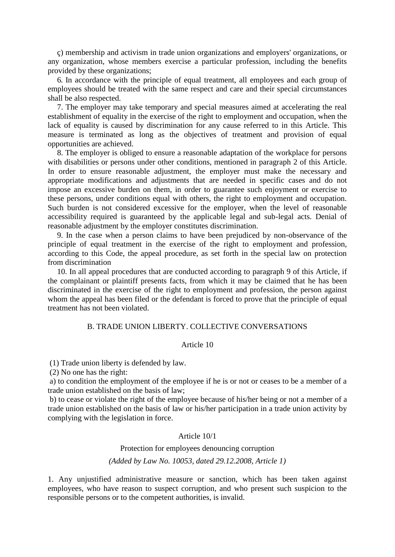ç) membership and activism in trade union organizations and employers' organizations, or any organization, whose members exercise a particular profession, including the benefits provided by these organizations;

6. In accordance with the principle of equal treatment, all employees and each group of employees should be treated with the same respect and care and their special circumstances shall be also respected.

7. The employer may take temporary and special measures aimed at accelerating the real establishment of equality in the exercise of the right to employment and occupation, when the lack of equality is caused by discrimination for any cause referred to in this Article. This measure is terminated as long as the objectives of treatment and provision of equal opportunities are achieved.

8. The employer is obliged to ensure a reasonable adaptation of the workplace for persons with disabilities or persons under other conditions, mentioned in paragraph 2 of this Article. In order to ensure reasonable adjustment, the employer must make the necessary and appropriate modifications and adjustments that are needed in specific cases and do not impose an excessive burden on them, in order to guarantee such enjoyment or exercise to these persons, under conditions equal with others, the right to employment and occupation. Such burden is not considered excessive for the employer, when the level of reasonable accessibility required is guaranteed by the applicable legal and sub-legal acts. Denial of reasonable adjustment by the employer constitutes discrimination.

9. In the case when a person claims to have been prejudiced by non-observance of the principle of equal treatment in the exercise of the right to employment and profession, according to this Code, the appeal procedure, as set forth in the special law on protection from discrimination

10. In all appeal procedures that are conducted according to paragraph 9 of this Article, if the complainant or plaintiff presents facts, from which it may be claimed that he has been discriminated in the exercise of the right to employment and profession, the person against whom the appeal has been filed or the defendant is forced to prove that the principle of equal treatment has not been violated.

# B. TRADE UNION LIBERTY. COLLECTIVE CONVERSATIONS

# Article 10

(1) Trade union liberty is defended by law.

(2) No one has the right:

a) to condition the employment of the employee if he is or not or ceases to be a member of a trade union established on the basis of law;

b) to cease or violate the right of the employee because of his/her being or not a member of a trade union established on the basis of law or his/her participation in a trade union activity by complying with the legislation in force.

#### Article 10/1

Protection for employees denouncing corruption *(Added by Law No. 10053, dated 29.12.2008, Article 1)*

1. Any unjustified administrative measure or sanction, which has been taken against employees, who have reason to suspect corruption, and who present such suspicion to the responsible persons or to the competent authorities, is invalid.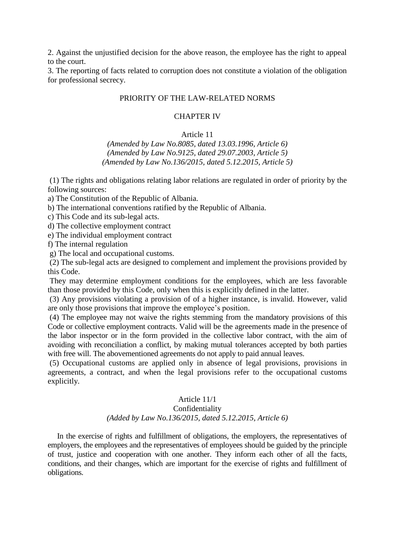2. Against the unjustified decision for the above reason, the employee has the right to appeal to the court.

3. The reporting of facts related to corruption does not constitute a violation of the obligation for professional secrecy.

# PRIORITY OF THE LAW-RELATED NORMS

#### CHAPTER IV

#### Article 11

*(Amended by Law No.8085, dated 13.03.1996, Article 6) (Amended by Law No.9125, dated 29.07.2003, Article 5) (Amended by Law No.136/2015, dated 5.12.2015, Article 5)*

(1) The rights and obligations relating labor relations are regulated in order of priority by the following sources:

a) The Constitution of the Republic of Albania.

b) The international conventions ratified by the Republic of Albania.

c) This Code and its sub-legal acts.

d) The collective employment contract

e) The individual employment contract

f) The internal regulation

g) The local and occupational customs.

(2) The sub-legal acts are designed to complement and implement the provisions provided by this Code.

They may determine employment conditions for the employees, which are less favorable than those provided by this Code, only when this is explicitly defined in the latter.

(3) Any provisions violating a provision of of a higher instance, is invalid. However, valid are only those provisions that improve the employee's position.

(4) The employee may not waive the rights stemming from the mandatory provisions of this Code or collective employment contracts. Valid will be the agreements made in the presence of the labor inspector or in the form provided in the collective labor contract, with the aim of avoiding with reconciliation a conflict, by making mutual tolerances accepted by both parties with free will. The abovementioned agreements do not apply to paid annual leaves.

(5) Occupational customs are applied only in absence of legal provisions, provisions in agreements, a contract, and when the legal provisions refer to the occupational customs explicitly.

### Article 11/1 Confidentiality

# *(Added by Law No.136/2015, dated 5.12.2015, Article 6)*

In the exercise of rights and fulfillment of obligations, the employers, the representatives of employers, the employees and the representatives of employees should be guided by the principle of trust, justice and cooperation with one another. They inform each other of all the facts, conditions, and their changes, which are important for the exercise of rights and fulfillment of obligations.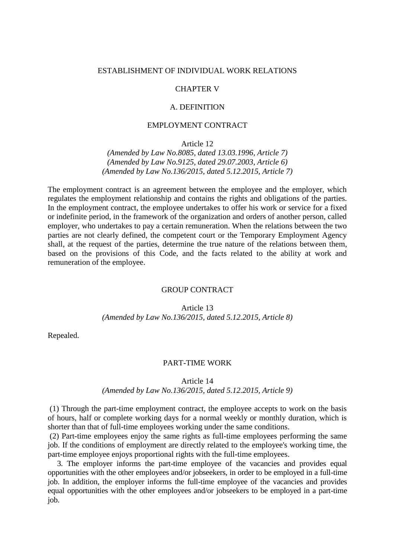#### ESTABLISHMENT OF INDIVIDUAL WORK RELATIONS

#### CHAPTER V

### A. DEFINITION

#### EMPLOYMENT CONTRACT

Article 12

*(Amended by Law No.8085, dated 13.03.1996, Article 7) (Amended by Law No.9125, dated 29.07.2003, Article 6) (Amended by Law No.136/2015, dated 5.12.2015, Article 7)*

The employment contract is an agreement between the employee and the employer, which regulates the employment relationship and contains the rights and obligations of the parties. In the employment contract, the employee undertakes to offer his work or service for a fixed or indefinite period, in the framework of the organization and orders of another person, called employer, who undertakes to pay a certain remuneration. When the relations between the two parties are not clearly defined, the competent court or the Temporary Employment Agency shall, at the request of the parties, determine the true nature of the relations between them, based on the provisions of this Code, and the facts related to the ability at work and remuneration of the employee.

#### GROUP CONTRACT

Article 13

*(Amended by Law No.136/2015, dated 5.12.2015, Article 8)*

Repealed.

#### PART-TIME WORK

Article 14

#### *(Amended by Law No.136/2015, dated 5.12.2015, Article 9)*

(1) Through the part-time employment contract, the employee accepts to work on the basis of hours, half or complete working days for a normal weekly or monthly duration, which is shorter than that of full-time employees working under the same conditions.

(2) Part-time employees enjoy the same rights as full-time employees performing the same job. If the conditions of employment are directly related to the employee's working time, the part-time employee enjoys proportional rights with the full-time employees.

3. The employer informs the part-time employee of the vacancies and provides equal opportunities with the other employees and/or jobseekers, in order to be employed in a full-time job. In addition, the employer informs the full-time employee of the vacancies and provides equal opportunities with the other employees and/or jobseekers to be employed in a part-time job.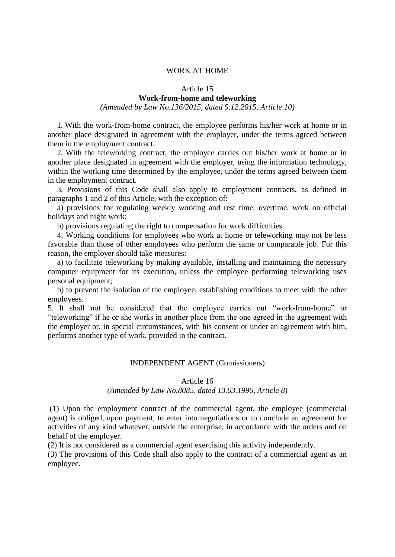### WORK AT HOME

#### Article 15

# **Work-from-home and teleworking**

*(Amended by Law No.136/2015, dated 5.12.2015, Article 10)*

1. With the work-from-home contract, the employee performs his/her work at home or in another place designated in agreement with the employer, under the terms agreed between them in the employment contract.

2. With the teleworking contract, the employee carries out his/her work at home or in another place designated in agreement with the employer, using the information technology, within the working time determined by the employee, under the terms agreed between them in the employment contract.

3. Provisions of this Code shall also apply to employment contracts, as defined in paragraphs 1 and 2 of this Article, with the exception of:

a) provisions for regulating weekly working and rest time, overtime, work on official holidays and night work;

b) provisions regulating the right to compensation for work difficulties.

4. Working conditions for employees who work at home or teleworking may not be less favorable than those of other employees who perform the same or comparable job. For this reason, the employer should take measures:

a) to facilitate teleworking by making available, installing and maintaining the necessary computer equipment for its execution, unless the employee performing teleworking uses personal equipment;

b) to prevent the isolation of the employee, establishing conditions to meet with the other employees.

5. It shall not be considered that the employee carries out "work-from-home" or "teleworking" if he or she works in another place from the one agreed in the agreement with the employer or, in special circumstances, with his consent or under an agreement with him, performs another type of work, provided in the contract.

# INDEPENDENT AGENT (Comissioners)

#### Article 16

#### *(Amended by Law No.8085, dated 13.03.1996, Article 8)*

(1) Upon the employment contract of the commercial agent, the employee (commercial agent) is obliged, upon payment, to enter into negotiations or to conclude an agreement for activities of any kind whatever, outside the enterprise, in accordance with the orders and on behalf of the employer.

(2) It is not considered as a commercial agent exercising this activity independently.

(3) The provisions of this Code shall also apply to the contract of a commercial agent as an employee.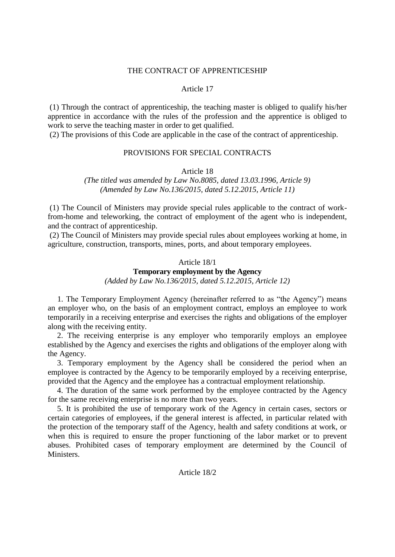### THE CONTRACT OF APPRENTICESHIP

# Article 17

(1) Through the contract of apprenticeship, the teaching master is obliged to qualify his/her apprentice in accordance with the rules of the profession and the apprentice is obliged to work to serve the teaching master in order to get qualified.

(2) The provisions of this Code are applicable in the case of the contract of apprenticeship.

# PROVISIONS FOR SPECIAL CONTRACTS

Article 18

# *(The titled was amended by Law No.8085, dated 13.03.1996, Article 9) (Amended by Law No.136/2015, dated 5.12.2015, Article 11)*

(1) The Council of Ministers may provide special rules applicable to the contract of workfrom-home and teleworking, the contract of employment of the agent who is independent, and the contract of apprenticeship.

(2) The Council of Ministers may provide special rules about employees working at home, in agriculture, construction, transports, mines, ports, and about temporary employees.

# Article 18/1

# **Temporary employment by the Agency**

*(Added by Law No.136/2015, dated 5.12.2015, Article 12)*

1. The Temporary Employment Agency (hereinafter referred to as "the Agency") means an employer who, on the basis of an employment contract, employs an employee to work temporarily in a receiving enterprise and exercises the rights and obligations of the employer along with the receiving entity.

2. The receiving enterprise is any employer who temporarily employs an employee established by the Agency and exercises the rights and obligations of the employer along with the Agency.

3. Temporary employment by the Agency shall be considered the period when an employee is contracted by the Agency to be temporarily employed by a receiving enterprise, provided that the Agency and the employee has a contractual employment relationship.

4. The duration of the same work performed by the employee contracted by the Agency for the same receiving enterprise is no more than two years.

5. It is prohibited the use of temporary work of the Agency in certain cases, sectors or certain categories of employees, if the general interest is affected, in particular related with the protection of the temporary staff of the Agency, health and safety conditions at work, or when this is required to ensure the proper functioning of the labor market or to prevent abuses. Prohibited cases of temporary employment are determined by the Council of **Ministers** 

### Article 18/2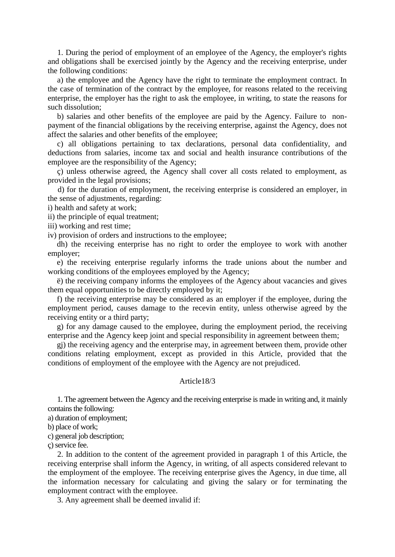1. During the period of employment of an employee of the Agency, the employer's rights and obligations shall be exercised jointly by the Agency and the receiving enterprise, under the following conditions:

a) the employee and the Agency have the right to terminate the employment contract. In the case of termination of the contract by the employee, for reasons related to the receiving enterprise, the employer has the right to ask the employee, in writing, to state the reasons for such dissolution;

b) salaries and other benefits of the employee are paid by the Agency. Failure to nonpayment of the financial obligations by the receiving enterprise, against the Agency, does not affect the salaries and other benefits of the employee;

c) all obligations pertaining to tax declarations, personal data confidentiality, and deductions from salaries, income tax and social and health insurance contributions of the employee are the responsibility of the Agency;

ç) unless otherwise agreed, the Agency shall cover all costs related to employment, as provided in the legal provisions;

 d) for the duration of employment, the receiving enterprise is considered an employer, in the sense of adjustments, regarding:

i) health and safety at work;

ii) the principle of equal treatment;

iii) working and rest time;

iv) provision of orders and instructions to the employee;

dh) the receiving enterprise has no right to order the employee to work with another employer;

e) the receiving enterprise regularly informs the trade unions about the number and working conditions of the employees employed by the Agency;

ë) the receiving company informs the employees of the Agency about vacancies and gives them equal opportunities to be directly employed by it;

f) the receiving enterprise may be considered as an employer if the employee, during the employment period, causes damage to the recevin entity, unless otherwise agreed by the receiving entity or a third party;

g) for any damage caused to the employee, during the employment period, the receiving enterprise and the Agency keep joint and special responsibility in agreement between them;

gj) the receiving agency and the enterprise may, in agreement between them, provide other conditions relating employment, except as provided in this Article, provided that the conditions of employment of the employee with the Agency are not prejudiced.

#### Article18/3

1. The agreement between the Agency and the receiving enterprise is made in writing and, it mainly contains the following:

a) duration of employment;

b) place of work;

c) general job description;

ç) service fee.

2. In addition to the content of the agreement provided in paragraph 1 of this Article, the receiving enterprise shall inform the Agency, in writing, of all aspects considered relevant to the employment of the employee. The receiving enterprise gives the Agency, in due time, all the information necessary for calculating and giving the salary or for terminating the employment contract with the employee.

3. Any agreement shall be deemed invalid if: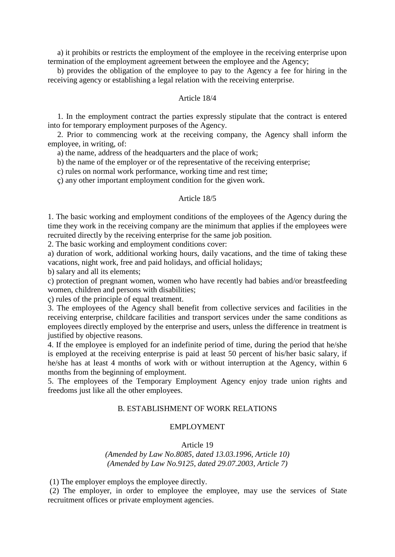a) it prohibits or restricts the employment of the employee in the receiving enterprise upon termination of the employment agreement between the employee and the Agency;

b) provides the obligation of the employee to pay to the Agency a fee for hiring in the receiving agency or establishing a legal relation with the receiving enterprise.

### Article 18/4

1. In the employment contract the parties expressly stipulate that the contract is entered into for temporary employment purposes of the Agency.

2. Prior to commencing work at the receiving company, the Agency shall inform the employee, in writing, of:

a) the name, address of the headquarters and the place of work;

b) the name of the employer or of the representative of the receiving enterprise;

c) rules on normal work performance, working time and rest time;

ç) any other important employment condition for the given work.

#### Article 18/5

1. The basic working and employment conditions of the employees of the Agency during the time they work in the receiving company are the minimum that applies if the employees were recruited directly by the receiving enterprise for the same job position.

2. The basic working and employment conditions cover:

a) duration of work, additional working hours, daily vacations, and the time of taking these vacations, night work, free and paid holidays, and official holidays;

b) salary and all its elements;

c) protection of pregnant women, women who have recently had babies and/or breastfeeding women, children and persons with disabilities;

ç) rules of the principle of equal treatment.

3. The employees of the Agency shall benefit from collective services and facilities in the receiving enterprise, childcare facilities and transport services under the same conditions as employees directly employed by the enterprise and users, unless the difference in treatment is justified by objective reasons.

4. If the employee is employed for an indefinite period of time, during the period that he/she is employed at the receiving enterprise is paid at least 50 percent of his/her basic salary, if he/she has at least 4 months of work with or without interruption at the Agency, within 6 months from the beginning of employment.

5. The employees of the Temporary Employment Agency enjoy trade union rights and freedoms just like all the other employees.

# B. ESTABLISHMENT OF WORK RELATIONS

#### EMPLOYMENT

Article 19

*(Amended by Law No.8085, dated 13.03.1996, Article 10) (Amended by Law No.9125, dated 29.07.2003, Article 7)*

(1) The employer employs the employee directly.

(2) The employer, in order to employee the employee, may use the services of State recruitment offices or private employment agencies.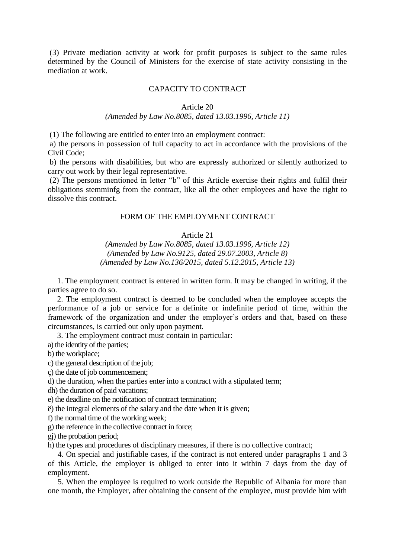(3) Private mediation activity at work for profit purposes is subject to the same rules determined by the Council of Ministers for the exercise of state activity consisting in the mediation at work.

### CAPACITY TO CONTRACT

#### Article 20

#### *(Amended by Law No.8085, dated 13.03.1996, Article 11)*

(1) The following are entitled to enter into an employment contract:

a) the persons in possession of full capacity to act in accordance with the provisions of the Civil Code;

b) the persons with disabilities, but who are expressly authorized or silently authorized to carry out work by their legal representative.

(2) The persons mentioned in letter "b" of this Article exercise their rights and fulfil their obligations stemminfg from the contract, like all the other employees and have the right to dissolve this contract.

#### FORM OF THE EMPLOYMENT CONTRACT

# Article 21

*(Amended by Law No.8085, dated 13.03.1996, Article 12) (Amended by Law No.9125, dated 29.07.2003, Article 8) (Amended by Law No.136/2015, dated 5.12.2015, Article 13)*

1. The employment contract is entered in written form. It may be changed in writing, if the parties agree to do so.

2. The employment contract is deemed to be concluded when the employee accepts the performance of a job or service for a definite or indefinite period of time, within the framework of the organization and under the employer's orders and that, based on these circumstances, is carried out only upon payment.

3. The employment contract must contain in particular:

a) the identity of the parties;

b) the workplace;

c) the general description of the job;

ç) the date of job commencement;

d) the duration, when the parties enter into a contract with a stipulated term;

dh) the duration of paid vacations;

e) the deadline on the notification of contract termination;

ë) the integral elements of the salary and the date when it is given;

f) the normal time of the working week;

g) the reference in the collective contract in force;

gj) the probation period;

h) the types and procedures of disciplinary measures, if there is no collective contract;

 4. On special and justifiable cases, if the contract is not entered under paragraphs 1 and 3 of this Article, the employer is obliged to enter into it within 7 days from the day of employment.

 5. When the employee is required to work outside the Republic of Albania for more than one month, the Employer, after obtaining the consent of the employee, must provide him with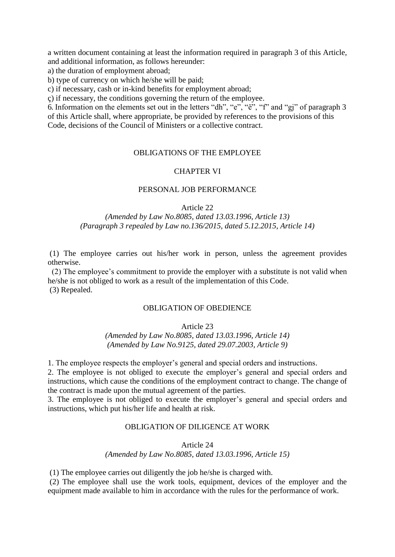a written document containing at least the information required in paragraph 3 of this Article, and additional information, as follows hereunder:

a) the duration of employment abroad;

b) type of currency on which he/she will be paid;

c) if necessary, cash or in-kind benefits for employment abroad;

ç) if necessary, the conditions governing the return of the employee.

6. Information on the elements set out in the letters "dh", "e", "ë", "f" and "gj" of paragraph 3 of this Article shall, where appropriate, be provided by references to the provisions of this Code, decisions of the Council of Ministers or a collective contract.

# OBLIGATIONS OF THE EMPLOYEE

### CHAPTER VI

# PERSONAL JOB PERFORMANCE

#### Article 22

# *(Amended by Law No.8085, dated 13.03.1996, Article 13) (Paragraph 3 repealed by Law no.136/2015, dated 5.12.2015, Article 14)*

(1) The employee carries out his/her work in person, unless the agreement provides otherwise.

(2) The employee's commitment to provide the employer with a substitute is not valid when he/she is not obliged to work as a result of the implementation of this Code. (3) Repealed.

# OBLIGATION OF OBEDIENCE

Article 23

*(Amended by Law No.8085, dated 13.03.1996, Article 14) (Amended by Law No.9125, dated 29.07.2003, Article 9)*

1. The employee respects the employer's general and special orders and instructions.

2. The employee is not obliged to execute the employer's general and special orders and instructions, which cause the conditions of the employment contract to change. The change of the contract is made upon the mutual agreement of the parties.

3. The employee is not obliged to execute the employer's general and special orders and instructions, which put his/her life and health at risk.

# OBLIGATION OF DILIGENCE AT WORK

Article 24

*(Amended by Law No.8085, dated 13.03.1996, Article 15)*

(1) The employee carries out diligently the job he/she is charged with.

(2) The employee shall use the work tools, equipment, devices of the employer and the equipment made available to him in accordance with the rules for the performance of work.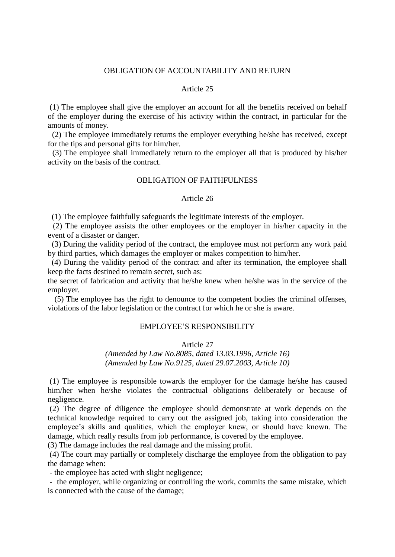#### OBLIGATION OF ACCOUNTABILITY AND RETURN

#### Article 25

(1) The employee shall give the employer an account for all the benefits received on behalf of the employer during the exercise of his activity within the contract, in particular for the amounts of money.

(2) The employee immediately returns the employer everything he/she has received, except for the tips and personal gifts for him/her.

(3) The employee shall immediately return to the employer all that is produced by his/her activity on the basis of the contract.

### OBLIGATION OF FAITHFULNESS

#### Article 26

(1) The employee faithfully safeguards the legitimate interests of the employer.

(2) The employee assists the other employees or the employer in his/her capacity in the event of a disaster or danger.

(3) During the validity period of the contract, the employee must not perform any work paid by third parties, which damages the employer or makes competition to him/her.

 (4) During the validity period of the contract and after its termination, the employee shall keep the facts destined to remain secret, such as:

the secret of fabrication and activity that he/she knew when he/she was in the service of the employer.

 (5) The employee has the right to denounce to the competent bodies the criminal offenses, violations of the labor legislation or the contract for which he or she is aware.

# EMPLOYEE'S RESPONSIBILITY

### Article 27

*(Amended by Law No.8085, dated 13.03.1996, Article 16) (Amended by Law No.9125, dated 29.07.2003, Article 10)*

(1) The employee is responsible towards the employer for the damage he/she has caused him/her when he/she violates the contractual obligations deliberately or because of negligence.

(2) The degree of diligence the employee should demonstrate at work depends on the technical knowledge required to carry out the assigned job, taking into consideration the employee's skills and qualities, which the employer knew, or should have known. The damage, which really results from job performance, is covered by the employee.

(3) The damage includes the real damage and the missing profit.

(4) The court may partially or completely discharge the employee from the obligation to pay the damage when:

- the employee has acted with slight negligence;

- the employer, while organizing or controlling the work, commits the same mistake, which is connected with the cause of the damage;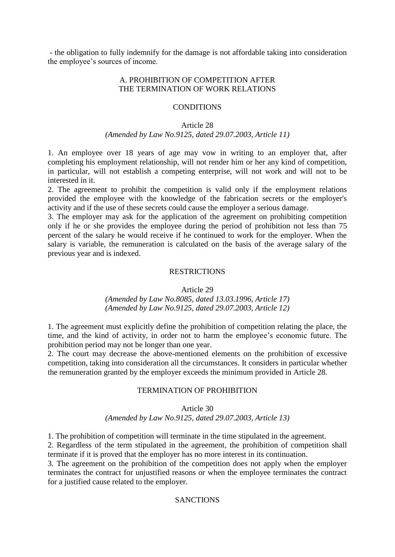- the obligation to fully indemnify for the damage is not affordable taking into consideration the employee's sources of income.

# A. PROHIBITION OF COMPETITION AFTER THE TERMINATION OF WORK RELATIONS

# **CONDITIONS**

#### Article 28

### *(Amended by Law No.9125, dated 29.07.2003, Article 11)*

1. An employee over 18 years of age may vow in writing to an employer that, after completing his employment relationship, will not render him or her any kind of competition, in particular, will not establish a competing enterprise, will not work and will not to be interested in it.

2. The agreement to prohibit the competition is valid only if the employment relations provided the employee with the knowledge of the fabrication secrets or the employer's activity and if the use of these secrets could cause the employer a serious damage.

3. The employer may ask for the application of the agreement on prohibiting competition only if he or she provides the employee during the period of prohibition not less than 75 percent of the salary he would receive if he continued to work for the employer. When the salary is variable, the remuneration is calculated on the basis of the average salary of the previous year and is indexed.

### RESTRICTIONS

Article 29

*(Amended by Law No.8085, dated 13.03.1996, Article 17) (Amended by Law No.9125, dated 29.07.2003, Article 12)*

1. The agreement must explicitly define the prohibition of competition relating the place, the time, and the kind of activity, in order not to harm the employee's economic future. The prohibition period may not be longer than one year.

2. The court may decrease the above-mentioned elements on the prohibition of excessive competition, taking into consideration all the circumstances. It considers in particular whether the remuneration granted by the employer exceeds the minimum provided in Article 28.

### TERMINATION OF PROHIBITION

Article 30

*(Amended by Law No.9125, dated 29.07.2003, Article 13)*

1. The prohibition of competition will terminate in the time stipulated in the agreement.

2. Regardless of the term stipulated in the agreement, the prohibition of competition shall terminate if it is proved that the employer has no more interest in its continuation.

3. The agreement on the prohibition of the competition does not apply when the employer terminates the contract for unjustified reasons or when the employee terminates the contract for a justified cause related to the employer.

### **SANCTIONS**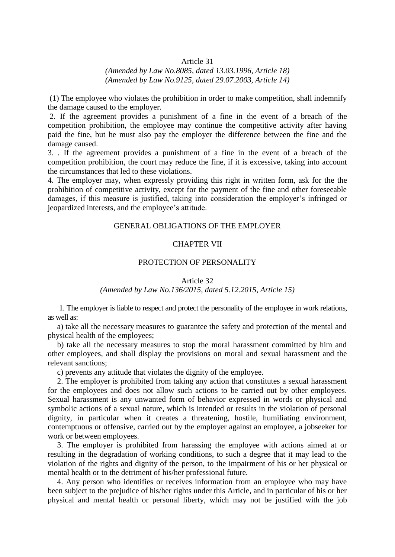### Article 31

# *(Amended by Law No.8085, dated 13.03.1996, Article 18) (Amended by Law No.9125, dated 29.07.2003, Article 14)*

(1) The employee who violates the prohibition in order to make competition, shall indemnify the damage caused to the employer.

2. If the agreement provides a punishment of a fine in the event of a breach of the competition prohibition, the employee may continue the competitive activity after having paid the fine, but he must also pay the employer the difference between the fine and the damage caused.

3. . If the agreement provides a punishment of a fine in the event of a breach of the competition prohibition, the court may reduce the fine, if it is excessive, taking into account the circumstances that led to these violations.

4. The employer may, when expressly providing this right in written form, ask for the the prohibition of competitive activity, except for the payment of the fine and other foreseeable damages, if this measure is justified, taking into consideration the employer's infringed or jeopardized interests, and the employee's attitude.

#### GENERAL OBLIGATIONS OF THE EMPLOYER

# CHAPTER VII

#### PROTECTION OF PERSONALITY

Article 32

### *(Amended by Law No.136/2015, dated 5.12.2015, Article 15)*

1. The employer is liable to respect and protect the personality of the employee in work relations, as well as:

a) take all the necessary measures to guarantee the safety and protection of the mental and physical health of the employees;

b) take all the necessary measures to stop the moral harassment committed by him and other employees, and shall display the provisions on moral and sexual harassment and the relevant sanctions;

c) prevents any attitude that violates the dignity of the employee.

2. The employer is prohibited from taking any action that constitutes a sexual harassment for the employees and does not allow such actions to be carried out by other employees. Sexual harassment is any unwanted form of behavior expressed in words or physical and symbolic actions of a sexual nature, which is intended or results in the violation of personal dignity, in particular when it creates a threatening, hostile, humiliating environment, contemptuous or offensive, carried out by the employer against an employee, a jobseeker for work or between employees.

3. The employer is prohibited from harassing the employee with actions aimed at or resulting in the degradation of working conditions, to such a degree that it may lead to the violation of the rights and dignity of the person, to the impairment of his or her physical or mental health or to the detriment of his/her professional future.

4. Any person who identifies or receives information from an employee who may have been subject to the prejudice of his/her rights under this Article, and in particular of his or her physical and mental health or personal liberty, which may not be justified with the job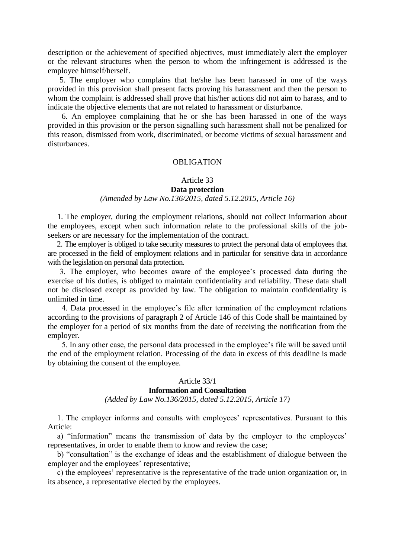description or the achievement of specified objectives, must immediately alert the employer or the relevant structures when the person to whom the infringement is addressed is the employee himself/herself.

 5. The employer who complains that he/she has been harassed in one of the ways provided in this provision shall present facts proving his harassment and then the person to whom the complaint is addressed shall prove that his/her actions did not aim to harass, and to indicate the objective elements that are not related to harassment or disturbance.

 6. An employee complaining that he or she has been harassed in one of the ways provided in this provision or the person signalling such harassment shall not be penalized for this reason, dismissed from work, discriminated, or become victims of sexual harassment and disturbances.

### OBLIGATION

#### Article 33

#### **Data protection**

### *(Amended by Law No.136/2015, dated 5.12.2015, Article 16)*

1. The employer, during the employment relations, should not collect information about the employees, except when such information relate to the professional skills of the jobseekers or are necessary for the implementation of the contract.

2. The employer is obliged to take security measures to protect the personal data of employees that are processed in the field of employment relations and in particular for sensitive data in accordance with the legislation on personal data protection.

 3. The employer, who becomes aware of the employee's processed data during the exercise of his duties, is obliged to maintain confidentiality and reliability. These data shall not be disclosed except as provided by law. The obligation to maintain confidentiality is unlimited in time.

 4. Data processed in the employee's file after termination of the employment relations according to the provisions of paragraph 2 of Article 146 of this Code shall be maintained by the employer for a period of six months from the date of receiving the notification from the employer.

 5. In any other case, the personal data processed in the employee's file will be saved until the end of the employment relation. Processing of the data in excess of this deadline is made by obtaining the consent of the employee.

#### Article 33/1 **Information and Consultation**

# *(Added by Law No.136/2015, dated 5.12.2015, Article 17)*

1. The employer informs and consults with employees' representatives. Pursuant to this Article:

a) "information" means the transmission of data by the employer to the employees' representatives, in order to enable them to know and review the case;

b) "consultation" is the exchange of ideas and the establishment of dialogue between the employer and the employees' representative;

c) the employees' representative is the representative of the trade union organization or, in its absence, a representative elected by the employees.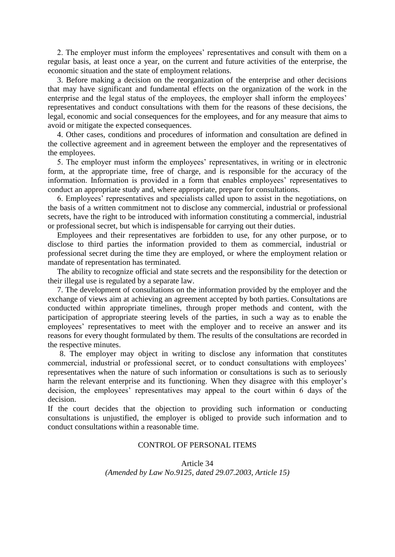2. The employer must inform the employees' representatives and consult with them on a regular basis, at least once a year, on the current and future activities of the enterprise, the economic situation and the state of employment relations.

3. Before making a decision on the reorganization of the enterprise and other decisions that may have significant and fundamental effects on the organization of the work in the enterprise and the legal status of the employees, the employer shall inform the employees' representatives and conduct consultations with them for the reasons of these decisions, the legal, economic and social consequences for the employees, and for any measure that aims to avoid or mitigate the expected consequences.

4. Other cases, conditions and procedures of information and consultation are defined in the collective agreement and in agreement between the employer and the representatives of the employees.

5. The employer must inform the employees' representatives, in writing or in electronic form, at the appropriate time, free of charge, and is responsible for the accuracy of the information. Information is provided in a form that enables employees' representatives to conduct an appropriate study and, where appropriate, prepare for consultations.

6. Employees' representatives and specialists called upon to assist in the negotiations, on the basis of a written commitment not to disclose any commercial, industrial or professional secrets, have the right to be introduced with information constituting a commercial, industrial or professional secret, but which is indispensable for carrying out their duties.

Employees and their representatives are forbidden to use, for any other purpose, or to disclose to third parties the information provided to them as commercial, industrial or professional secret during the time they are employed, or where the employment relation or mandate of representation has terminated.

The ability to recognize official and state secrets and the responsibility for the detection or their illegal use is regulated by a separate law.

7. The development of consultations on the information provided by the employer and the exchange of views aim at achieving an agreement accepted by both parties. Consultations are conducted within appropriate timelines, through proper methods and content, with the participation of appropriate steering levels of the parties, in such a way as to enable the employees' representatives to meet with the employer and to receive an answer and its reasons for every thought formulated by them. The results of the consultations are recorded in the respective minutes.

 8. The employer may object in writing to disclose any information that constitutes commercial, industrial or professional secret, or to conduct consultations with employees' representatives when the nature of such information or consultations is such as to seriously harm the relevant enterprise and its functioning. When they disagree with this employer's decision, the employees' representatives may appeal to the court within 6 days of the decision.

If the court decides that the objection to providing such information or conducting consultations is unjustified, the employer is obliged to provide such information and to conduct consultations within a reasonable time.

### CONTROL OF PERSONAL ITEMS

Article 34 *(Amended by Law No.9125, dated 29.07.2003, Article 15)*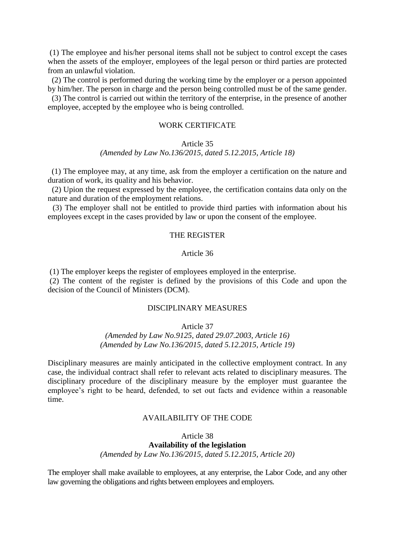(1) The employee and his/her personal items shall not be subject to control except the cases when the assets of the employer, employees of the legal person or third parties are protected from an unlawful violation.

(2) The control is performed during the working time by the employer or a person appointed by him/her. The person in charge and the person being controlled must be of the same gender.

(3) The control is carried out within the territory of the enterprise, in the presence of another employee, accepted by the employee who is being controlled.

#### WORK CERTIFICATE

#### Article 35

#### *(Amended by Law No.136/2015, dated 5.12.2015, Article 18)*

 (1) The employee may, at any time, ask from the employer a certification on the nature and duration of work, its quality and his behavior.

(2) Upion the request expressed by the employee, the certification contains data only on the nature and duration of the employment relations.

(3) The employer shall not be entitled to provide third parties with information about his employees except in the cases provided by law or upon the consent of the employee.

# THE REGISTER

#### Article 36

(1) The employer keeps the register of employees employed in the enterprise.

(2) The content of the register is defined by the provisions of this Code and upon the decision of the Council of Ministers (DCM).

# DISCIPLINARY MEASURES

Article 37

*(Amended by Law No.9125, dated 29.07.2003, Article 16) (Amended by Law No.136/2015, dated 5.12.2015, Article 19)*

Disciplinary measures are mainly anticipated in the collective employment contract. In any case, the individual contract shall refer to relevant acts related to disciplinary measures. The disciplinary procedure of the disciplinary measure by the employer must guarantee the employee's right to be heard, defended, to set out facts and evidence within a reasonable time.

# AVAILABILITY OF THE CODE

Article 38 **Availability of the legislation** *(Amended by Law No.136/2015, dated 5.12.2015, Article 20)*

The employer shall make available to employees, at any enterprise, the Labor Code, and any other law governing the obligations and rights between employees and employers.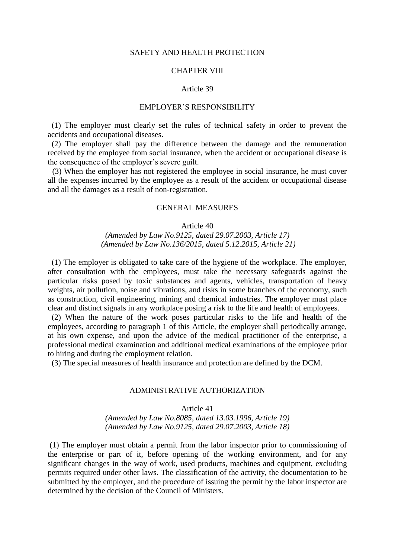#### SAFETY AND HEALTH PROTECTION

#### CHAPTER VIII

#### Article 39

### EMPLOYER'S RESPONSIBILITY

(1) The employer must clearly set the rules of technical safety in order to prevent the accidents and occupational diseases.

 (2) The employer shall pay the difference between the damage and the remuneration received by the employee from social insurance, when the accident or occupational disease is the consequence of the employer's severe guilt.

(3) When the employer has not registered the employee in social insurance, he must cover all the expenses incurred by the employee as a result of the accident or occupational disease and all the damages as a result of non-registration.

### GENERAL MEASURES

Article 40

*(Amended by Law No.9125, dated 29.07.2003, Article 17) (Amended by Law No.136/2015, dated 5.12.2015, Article 21)*

 (1) The employer is obligated to take care of the hygiene of the workplace. The employer, after consultation with the employees, must take the necessary safeguards against the particular risks posed by toxic substances and agents, vehicles, transportation of heavy weights, air pollution, noise and vibrations, and risks in some branches of the economy, such as construction, civil engineering, mining and chemical industries. The employer must place clear and distinct signals in any workplace posing a risk to the life and health of employees.

 (2) When the nature of the work poses particular risks to the life and health of the employees, according to paragraph 1 of this Article, the employer shall periodically arrange, at his own expense, and upon the advice of the medical practitioner of the enterprise, a professional medical examination and additional medical examinations of the employee prior to hiring and during the employment relation.

(3) The special measures of health insurance and protection are defined by the DCM.

#### ADMINISTRATIVE AUTHORIZATION

Article 41

*(Amended by Law No.8085, dated 13.03.1996, Article 19) (Amended by Law No.9125, dated 29.07.2003, Article 18)*

(1) The employer must obtain a permit from the labor inspector prior to commissioning of the enterprise or part of it, before opening of the working environment, and for any significant changes in the way of work, used products, machines and equipment, excluding permits required under other laws. The classification of the activity, the documentation to be submitted by the employer, and the procedure of issuing the permit by the labor inspector are determined by the decision of the Council of Ministers.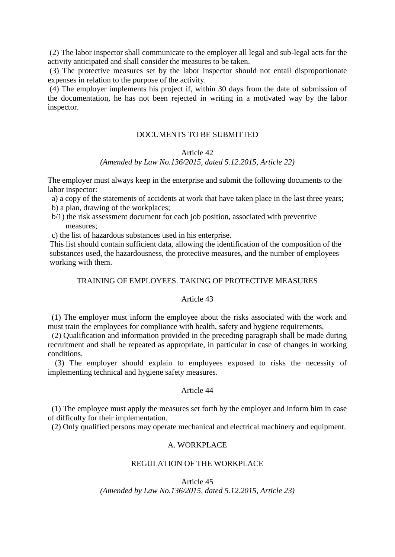(2) The labor inspector shall communicate to the employer all legal and sub-legal acts for the activity anticipated and shall consider the measures to be taken.

(3) The protective measures set by the labor inspector should not entail disproportionate expenses in relation to the purpose of the activity.

(4) The employer implements his project if, within 30 days from the date of submission of the documentation, he has not been rejected in writing in a motivated way by the labor inspector.

# DOCUMENTS TO BE SUBMITTED

#### Article 42

### *(Amended by Law No.136/2015, dated 5.12.2015, Article 22)*

The employer must always keep in the enterprise and submit the following documents to the labor inspector:

a) a copy of the statements of accidents at work that have taken place in the last three years; b) a plan, drawing of the workplaces;

b/1) the risk assessment document for each job position, associated with preventive measures;

c) the list of hazardous substances used in his enterprise.

This list should contain sufficient data, allowing the identification of the composition of the substances used, the hazardousness, the protective measures, and the number of employees working with them.

# TRAINING OF EMPLOYEES. TAKING OF PROTECTIVE MEASURES

#### Article 43

 (1) The employer must inform the employee about the risks associated with the work and must train the employees for compliance with health, safety and hygiene requirements.

(2) Qualification and information provided in the preceding paragraph shall be made during recruitment and shall be repeated as appropriate, in particular in case of changes in working conditions.

(3) The employer should explain to employees exposed to risks the necessity of implementing technical and hygiene safety measures.

# Article 44

 (1) The employee must apply the measures set forth by the employer and inform him in case of difficulty for their implementation.

(2) Only qualified persons may operate mechanical and electrical machinery and equipment.

# A. WORKPLACE

### REGULATION OF THE WORKPLACE

Article 45

*(Amended by Law No.136/2015, dated 5.12.2015, Article 23)*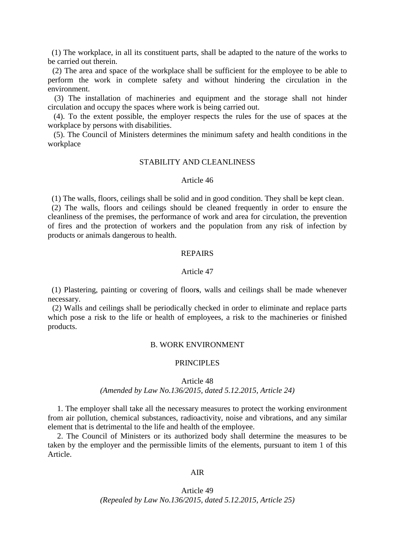(1) The workplace, in all its constituent parts, shall be adapted to the nature of the works to be carried out therein.

(2) The area and space of the workplace shall be sufficient for the employee to be able to perform the work in complete safety and without hindering the circulation in the environment.

(3) The installation of machineries and equipment and the storage shall not hinder circulation and occupy the spaces where work is being carried out.

 (4). To the extent possible, the employer respects the rules for the use of spaces at the workplace by persons with disabilities.

 (5). The Council of Ministers determines the minimum safety and health conditions in the workplace

#### STABILITY AND CLEANLINESS

#### Article 46

(1) The walls, floors, ceilings shall be solid and in good condition. They shall be kept clean.

 (2) The walls, floors and ceilings should be cleaned frequently in order to ensure the cleanliness of the premises, the performance of work and area for circulation, the prevention of fires and the protection of workers and the population from any risk of infection by products or animals dangerous to health.

### REPAIRS

### Article 47

 (1) Plastering, painting or covering of floor**s**, walls and ceilings shall be made whenever necessary.

(2) Walls and ceilings shall be periodically checked in order to eliminate and replace parts which pose a risk to the life or health of employees, a risk to the machineries or finished products.

### B. WORK ENVIRONMENT

#### PRINCIPLES

Article 48

### *(Amended by Law No.136/2015, dated 5.12.2015, Article 24)*

1. The employer shall take all the necessary measures to protect the working environment from air pollution, chemical substances, radioactivity, noise and vibrations, and any similar element that is detrimental to the life and health of the employee.

2. The Council of Ministers or its authorized body shall determine the measures to be taken by the employer and the permissible limits of the elements, pursuant to item 1 of this Article.

#### AIR

# Article 49 *(Repealed by Law No.136/2015, dated 5.12.2015, Article 25)*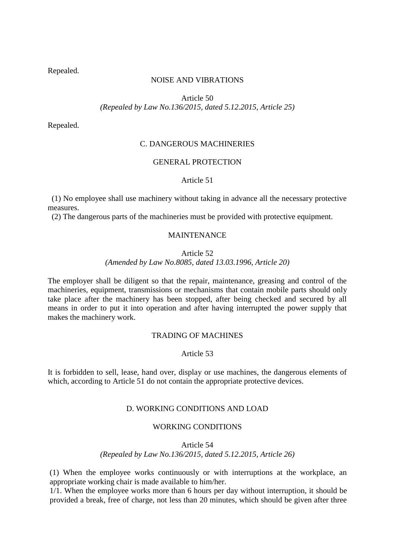Repealed.

# NOISE AND VIBRATIONS

Article 50 *(Repealed by Law No.136/2015, dated 5.12.2015, Article 25)*

Repealed.

# C. DANGEROUS MACHINERIES

### GENERAL PROTECTION

### Article 51

 (1) No employee shall use machinery without taking in advance all the necessary protective measures.

(2) The dangerous parts of the machineries must be provided with protective equipment.

# MAINTENANCE

# Article 52

# *(Amended by Law No.8085, dated 13.03.1996, Article 20)*

The employer shall be diligent so that the repair, maintenance, greasing and control of the machineries, equipment, transmissions or mechanisms that contain mobile parts should only take place after the machinery has been stopped, after being checked and secured by all means in order to put it into operation and after having interrupted the power supply that makes the machinery work.

# TRADING OF MACHINES

# Article 53

It is forbidden to sell, lease, hand over, display or use machines, the dangerous elements of which, according to Article 51 do not contain the appropriate protective devices.

# D. WORKING CONDITIONS AND LOAD

# WORKING CONDITIONS

Article 54 *(Repealed by Law No.136/2015, dated 5.12.2015, Article 26)*

(1) When the employee works continuously or with interruptions at the workplace, an appropriate working chair is made available to him/her.

1/1. When the employee works more than 6 hours per day without interruption, it should be provided a break, free of charge, not less than 20 minutes, which should be given after three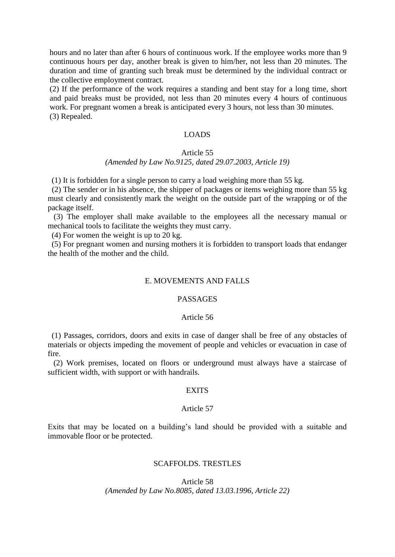hours and no later than after 6 hours of continuous work. If the employee works more than 9 continuous hours per day, another break is given to him/her, not less than 20 minutes. The duration and time of granting such break must be determined by the individual contract or the collective employment contract.

(2) If the performance of the work requires a standing and bent stay for a long time, short and paid breaks must be provided, not less than 20 minutes every 4 hours of continuous work. For pregnant women a break is anticipated every 3 hours, not less than 30 minutes. (3) Repealed.

# LOADS

# Article 55 *(Amended by Law No.9125, dated 29.07.2003, Article 19)*

(1) It is forbidden for a single person to carry a load weighing more than 55 kg.

(2) The sender or in his absence, the shipper of packages or items weighing more than 55 kg must clearly and consistently mark the weight on the outside part of the wrapping or of the package itself.

(3) The employer shall make available to the employees all the necessary manual or mechanical tools to facilitate the weights they must carry.

(4) For women the weight is up to 20 kg.

(5) For pregnant women and nursing mothers it is forbidden to transport loads that endanger the health of the mother and the child.

#### E. MOVEMENTS AND FALLS

#### PASSAGES

#### Article 56

 (1) Passages, corridors, doors and exits in case of danger shall be free of any obstacles of materials or objects impeding the movement of people and vehicles or evacuation in case of fire.

(2) Work premises, located on floors or underground must always have a staircase of sufficient width, with support or with handrails.

### **EXITS**

#### Article 57

Exits that may be located on a building's land should be provided with a suitable and immovable floor or be protected.

# SCAFFOLDS. TRESTLES

Article 58 *(Amended by Law No.8085, dated 13.03.1996, Article 22)*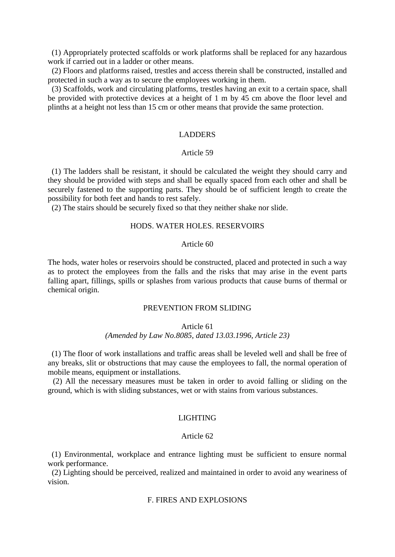(1) Appropriately protected scaffolds or work platforms shall be replaced for any hazardous work if carried out in a ladder or other means.

(2) Floors and platforms raised, trestles and access therein shall be constructed, installed and protected in such a way as to secure the employees working in them.

(3) Scaffolds, work and circulating platforms, trestles having an exit to a certain space, shall be provided with protective devices at a height of 1 m by 45 cm above the floor level and plinths at a height not less than 15 cm or other means that provide the same protection.

# LADDERS

#### Article 59

 (1) The ladders shall be resistant, it should be calculated the weight they should carry and they should be provided with steps and shall be equally spaced from each other and shall be securely fastened to the supporting parts. They should be of sufficient length to create the possibility for both feet and hands to rest safely.

(2) The stairs should be securely fixed so that they neither shake nor slide.

### HODS. WATER HOLES. RESERVOIRS

# Article 60

The hods, water holes or reservoirs should be constructed, placed and protected in such a way as to protect the employees from the falls and the risks that may arise in the event parts falling apart, fillings, spills or splashes from various products that cause burns of thermal or chemical origin.

#### PREVENTION FROM SLIDING

# Article 61

# *(Amended by Law No.8085, dated 13.03.1996, Article 23)*

 (1) The floor of work installations and traffic areas shall be leveled well and shall be free of any breaks, slit or obstructions that may cause the employees to fall, the normal operation of mobile means, equipment or installations.

(2) All the necessary measures must be taken in order to avoid falling or sliding on the ground, which is with sliding substances, wet or with stains from various substances.

#### LIGHTING

#### Article 62

 (1) Environmental, workplace and entrance lighting must be sufficient to ensure normal work performance.

(2) Lighting should be perceived, realized and maintained in order to avoid any weariness of vision.

#### F. FIRES AND EXPLOSIONS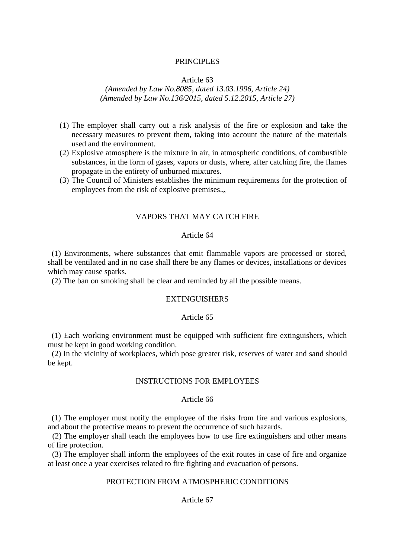### PRINCIPLES

#### Article 63

# *(Amended by Law No.8085, dated 13.03.1996, Article 24) (Amended by Law No.136/2015, dated 5.12.2015, Article 27)*

- (1) The employer shall carry out a risk analysis of the fire or explosion and take the necessary measures to prevent them, taking into account the nature of the materials used and the environment.
- (2) Explosive atmosphere is the mixture in air, in atmospheric conditions, of combustible substances, in the form of gases, vapors or dusts, where, after catching fire, the flames propagate in the entirety of unburned mixtures.
- (3) The Council of Ministers establishes the minimum requirements for the protection of employees from the risk of explosive premises...

### VAPORS THAT MAY CATCH FIRE

# Article 64

(1) Environments, where substances that emit flammable vapors are processed or stored, shall be ventilated and in no case shall there be any flames or devices, installations or devices which may cause sparks.

(2) The ban on smoking shall be clear and reminded by all the possible means.

#### **EXTINGUISHERS**

### Article 65

 (1) Each working environment must be equipped with sufficient fire extinguishers, which must be kept in good working condition.

(2) In the vicinity of workplaces, which pose greater risk, reserves of water and sand should be kept.

# INSTRUCTIONS FOR EMPLOYEES

#### Article 66

 (1) The employer must notify the employee of the risks from fire and various explosions, and about the protective means to prevent the occurrence of such hazards.

(2) The employer shall teach the employees how to use fire extinguishers and other means of fire protection.

(3) The employer shall inform the employees of the exit routes in case of fire and organize at least once a year exercises related to fire fighting and evacuation of persons.

# PROTECTION FROM ATMOSPHERIC CONDITIONS

# Article 67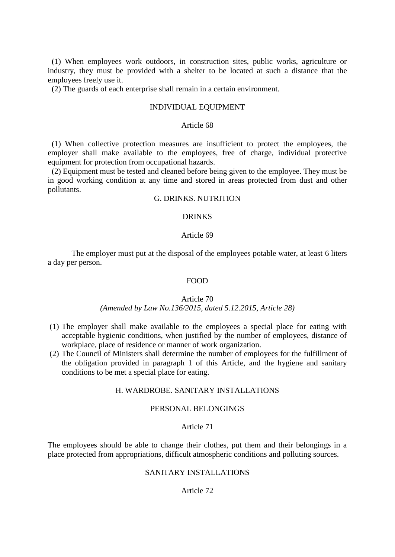(1) When employees work outdoors, in construction sites, public works, agriculture or industry, they must be provided with a shelter to be located at such a distance that the employees freely use it.

(2) The guards of each enterprise shall remain in a certain environment.

#### INDIVIDUAL EQUIPMENT

### Article 68

 (1) When collective protection measures are insufficient to protect the employees, the employer shall make available to the employees, free of charge, individual protective equipment for protection from occupational hazards.

(2) Equipment must be tested and cleaned before being given to the employee. They must be in good working condition at any time and stored in areas protected from dust and other pollutants.

# G. DRINKS. NUTRITION

# DRINKS

# Article 69

The employer must put at the disposal of the employees potable water, at least 6 liters a day per person.

# FOOD

#### Article 70

### *(Amended by Law No.136/2015, dated 5.12.2015, Article 28)*

- (1) The employer shall make available to the employees a special place for eating with acceptable hygienic conditions, when justified by the number of employees, distance of workplace, place of residence or manner of work organization.
- (2) The Council of Ministers shall determine the number of employees for the fulfillment of the obligation provided in paragraph 1 of this Article, and the hygiene and sanitary conditions to be met a special place for eating.

#### H. WARDROBE. SANITARY INSTALLATIONS

# PERSONAL BELONGINGS

### Article 71

The employees should be able to change their clothes, put them and their belongings in a place protected from appropriations, difficult atmospheric conditions and polluting sources.

#### SANITARY INSTALLATIONS

# Article 72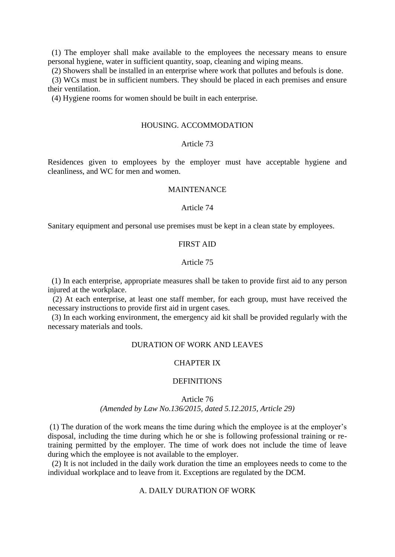(1) The employer shall make available to the employees the necessary means to ensure personal hygiene, water in sufficient quantity, soap, cleaning and wiping means.

(2) Showers shall be installed in an enterprise where work that pollutes and befouls is done.

(3) WCs must be in sufficient numbers. They should be placed in each premises and ensure their ventilation.

(4) Hygiene rooms for women should be built in each enterprise.

#### HOUSING. ACCOMMODATION

# Article 73

Residences given to employees by the employer must have acceptable hygiene and cleanliness, and WC for men and women.

### MAINTENANCE

#### Article 74

Sanitary equipment and personal use premises must be kept in a clean state by employees.

# FIRST AID

#### Article 75

 (1) In each enterprise, appropriate measures shall be taken to provide first aid to any person injured at the workplace.

(2) At each enterprise, at least one staff member, for each group, must have received the necessary instructions to provide first aid in urgent cases.

(3) In each working environment, the emergency aid kit shall be provided regularly with the necessary materials and tools.

### DURATION OF WORK AND LEAVES

#### CHAPTER IX

#### **DEFINITIONS**

# Article 76 *(Amended by Law No.136/2015, dated 5.12.2015, Article 29)*

(1) The duration of the work means the time during which the employee is at the employer's disposal, including the time during which he or she is following professional training or retraining permitted by the employer. The time of work does not include the time of leave during which the employee is not available to the employer.

(2) It is not included in the daily work duration the time an employees needs to come to the individual workplace and to leave from it. Exceptions are regulated by the DCM.

### A. DAILY DURATION OF WORK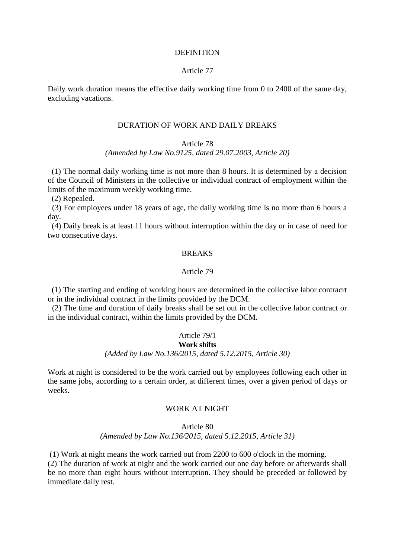#### **DEFINITION**

# Article 77

Daily work duration means the effective daily working time from 0 to 2400 of the same day, excluding vacations.

#### DURATION OF WORK AND DAILY BREAKS

#### Article 78

### *(Amended by Law No.9125, dated 29.07.2003, Article 20)*

 (1) The normal daily working time is not more than 8 hours. It is determined by a decision of the Council of Ministers in the collective or individual contract of employment within the limits of the maximum weekly working time.

(2) Repealed.

(3) For employees under 18 years of age, the daily working time is no more than 6 hours a day.

(4) Daily break is at least 11 hours without interruption within the day or in case of need for two consecutive days.

### **BREAKS**

### Article 79

 (1) The starting and ending of working hours are determined in the collective labor contracrt or in the individual contract in the limits provided by the DCM.

(2) The time and duration of daily breaks shall be set out in the collective labor contract or in the individual contract, within the limits provided by the DCM.

# Article 79/1

# **Work shifts**

# *(Added by Law No.136/2015, dated 5.12.2015, Article 30)*

Work at night is considered to be the work carried out by employees following each other in the same jobs, according to a certain order, at different times, over a given period of days or weeks.

### WORK AT NIGHT

### Article 80 *(Amended by Law No.136/2015, dated 5.12.2015, Article 31)*

(1) Work at night means the work carried out from 2200 to 600 o'clock in the morning. (2) The duration of work at night and the work carried out one day before or afterwards shall be no more than eight hours without interruption. They should be preceded or followed by immediate daily rest.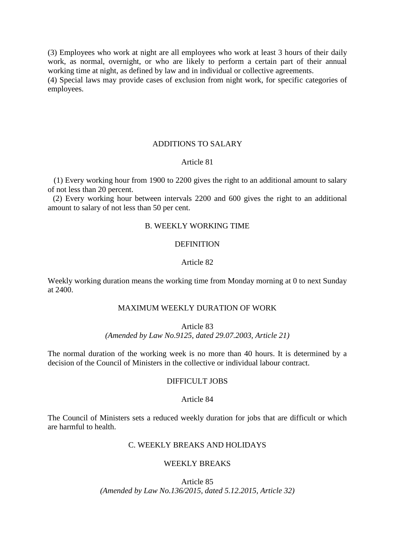(3) Employees who work at night are all employees who work at least 3 hours of their daily work, as normal, overnight, or who are likely to perform a certain part of their annual working time at night, as defined by law and in individual or collective agreements. (4) Special laws may provide cases of exclusion from night work, for specific categories of employees.

# ADDITIONS TO SALARY

### Article 81

 (1) Every working hour from 1900 to 2200 gives the right to an additional amount to salary of not less than 20 percent.

(2) Every working hour between intervals 2200 and 600 gives the right to an additional amount to salary of not less than 50 per cent.

# B. WEEKLY WORKING TIME

# DEFINITION

#### Article 82

Weekly working duration means the working time from Monday morning at 0 to next Sunday at 2400.

# MAXIMUM WEEKLY DURATION OF WORK

Article 83

*(Amended by Law No.9125, dated 29.07.2003, Article 21)*

The normal duration of the working week is no more than 40 hours. It is determined by a decision of the Council of Ministers in the collective or individual labour contract.

# DIFFICULT JOBS

#### Article 84

The Council of Ministers sets a reduced weekly duration for jobs that are difficult or which are harmful to health.

# C. WEEKLY BREAKS AND HOLIDAYS

# WEEKLY BREAKS

Article 85 *(Amended by Law No.136/2015, dated 5.12.2015, Article 32)*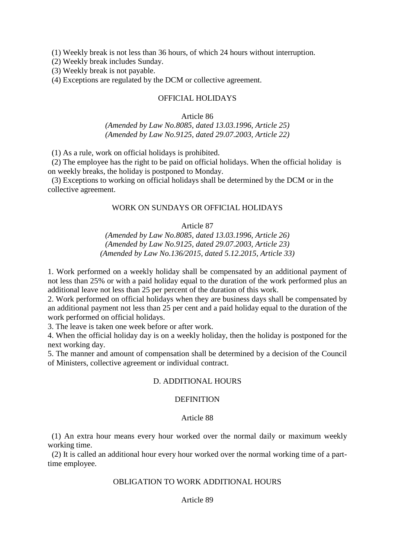(1) Weekly break is not less than 36 hours, of which 24 hours without interruption.

(2) Weekly break includes Sunday.

(3) Weekly break is not payable.

(4) Exceptions are regulated by the DCM or collective agreement.

# OFFICIAL HOLIDAYS

# Article 86 *(Amended by Law No.8085, dated 13.03.1996, Article 25) (Amended by Law No.9125, dated 29.07.2003, Article 22)*

(1) As a rule, work on official holidays is prohibited.

(2) The employee has the right to be paid on official holidays. When the official holiday is on weekly breaks, the holiday is postponed to Monday.

(3) Exceptions to working on official holidays shall be determined by the DCM or in the collective agreement.

# WORK ON SUNDAYS OR OFFICIAL HOLIDAYS

# Article 87

*(Amended by Law No.8085, dated 13.03.1996, Article 26) (Amended by Law No.9125, dated 29.07.2003, Article 23) (Amended by Law No.136/2015, dated 5.12.2015, Article 33)*

1. Work performed on a weekly holiday shall be compensated by an additional payment of not less than 25% or with a paid holiday equal to the duration of the work performed plus an additional leave not less than 25 per percent of the duration of this work.

2. Work performed on official holidays when they are business days shall be compensated by an additional payment not less than 25 per cent and a paid holiday equal to the duration of the work performed on official holidays.

3. The leave is taken one week before or after work.

4. When the official holiday day is on a weekly holiday, then the holiday is postponed for the next working day.

5. The manner and amount of compensation shall be determined by a decision of the Council of Ministers, collective agreement or individual contract.

# D. ADDITIONAL HOURS

### **DEFINITION**

### Article 88

 (1) An extra hour means every hour worked over the normal daily or maximum weekly working time.

(2) It is called an additional hour every hour worked over the normal working time of a parttime employee.

# OBLIGATION TO WORK ADDITIONAL HOURS

### Article 89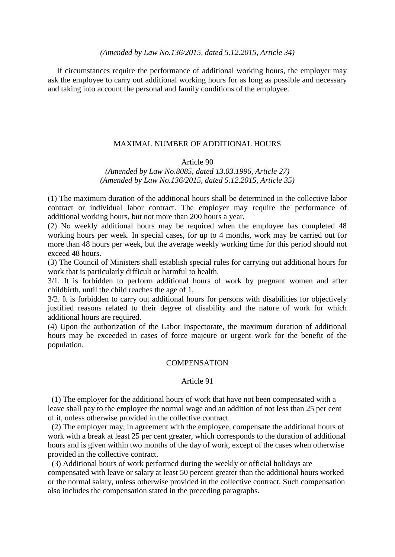If circumstances require the performance of additional working hours, the employer may ask the employee to carry out additional working hours for as long as possible and necessary and taking into account the personal and family conditions of the employee.

# MAXIMAL NUMBER OF ADDITIONAL HOURS

#### Article 90

*(Amended by Law No.8085, dated 13.03.1996, Article 27) (Amended by Law No.136/2015, dated 5.12.2015, Article 35)*

(1) The maximum duration of the additional hours shall be determined in the collective labor contract or individual labor contract. The employer may require the performance of additional working hours, but not more than 200 hours a year.

(2) No weekly additional hours may be required when the employee has completed 48 working hours per week. In special cases, for up to 4 months, work may be carried out for more than 48 hours per week, but the average weekly working time for this period should not exceed 48 hours.

(3) The Council of Ministers shall establish special rules for carrying out additional hours for work that is particularly difficult or harmful to health.

3/1. It is forbidden to perform additional hours of work by pregnant women and after childbirth, until the child reaches the age of 1.

3/2. It is forbidden to carry out additional hours for persons with disabilities for objectively justified reasons related to their degree of disability and the nature of work for which additional hours are required.

(4) Upon the authorization of the Labor Inspectorate, the maximum duration of additional hours may be exceeded in cases of force majeure or urgent work for the benefit of the population.

### **COMPENSATION**

### Article 91

 (1) The employer for the additional hours of work that have not been compensated with a leave shall pay to the employee the normal wage and an addition of not less than 25 per cent of it, unless otherwise provided in the collective contract.

(2) The employer may, in agreement with the employee, compensate the additional hours of work with a break at least 25 per cent greater, which corresponds to the duration of additional hours and is given within two months of the day of work, except of the cases when otherwise provided in the collective contract.

(3) Additional hours of work performed during the weekly or official holidays are compensated with leave or salary at least 50 percent greater than the additional hours worked or the normal salary, unless otherwise provided in the collective contract. Such compensation also includes the compensation stated in the preceding paragraphs.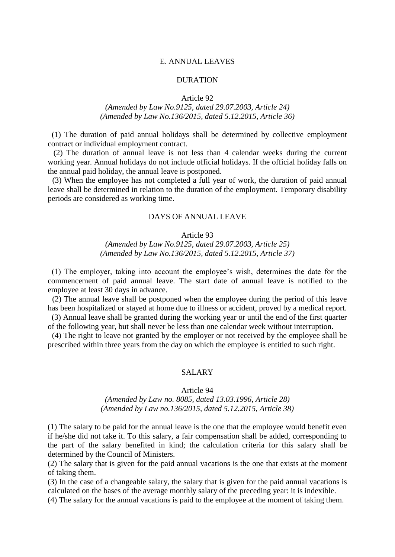### E. ANNUAL LEAVES

### DURATION

Article 92

# *(Amended by Law No.9125, dated 29.07.2003, Article 24) (Amended by Law No.136/2015, dated 5.12.2015, Article 36)*

 (1) The duration of paid annual holidays shall be determined by collective employment contract or individual employment contract.

(2) The duration of annual leave is not less than 4 calendar weeks during the current working year. Annual holidays do not include official holidays. If the official holiday falls on the annual paid holiday, the annual leave is postponed.

(3) When the employee has not completed a full year of work, the duration of paid annual leave shall be determined in relation to the duration of the employment. Temporary disability periods are considered as working time.

# DAYS OF ANNUAL LEAVE

# Article 93

# *(Amended by Law No.9125, dated 29.07.2003, Article 25) (Amended by Law No.136/2015, dated 5.12.2015, Article 37)*

 (1) The employer, taking into account the employee's wish, determines the date for the commencement of paid annual leave. The start date of annual leave is notified to the employee at least 30 days in advance.

(2) The annual leave shall be postponed when the employee during the period of this leave has been hospitalized or stayed at home due to illness or accident, proved by a medical report.

 (3) Annual leave shall be granted during the working year or until the end of the first quarter of the following year, but shall never be less than one calendar week without interruption.

(4) The right to leave not granted by the employer or not received by the employee shall be prescribed within three years from the day on which the employee is entitled to such right.

#### SALARY

#### Article 94

### *(Amended by Law no. 8085, dated 13.03.1996, Article 28) (Amended by Law no.136/2015, dated 5.12.2015, Article 38)*

(1) The salary to be paid for the annual leave is the one that the employee would benefit even if he/she did not take it. To this salary, a fair compensation shall be added, corresponding to the part of the salary benefited in kind; the calculation criteria for this salary shall be determined by the Council of Ministers.

(2) The salary that is given for the paid annual vacations is the one that exists at the moment of taking them.

(3) In the case of a changeable salary, the salary that is given for the paid annual vacations is calculated on the bases of the average monthly salary of the preceding year: it is indexible.

(4) The salary for the annual vacations is paid to the employee at the moment of taking them.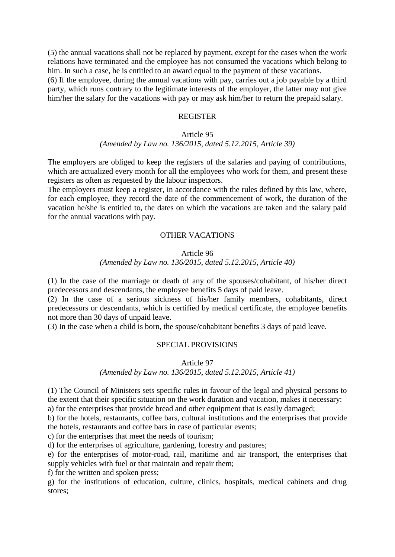(5) the annual vacations shall not be replaced by payment, except for the cases when the work relations have terminated and the employee has not consumed the vacations which belong to him. In such a case, he is entitled to an award equal to the payment of these vacations.

(6) If the employee, during the annual vacations with pay, carries out a job payable by a third party, which runs contrary to the legitimate interests of the employer, the latter may not give him/her the salary for the vacations with pay or may ask him/her to return the prepaid salary.

# REGISTER

# Article 95 *(Amended by Law no. 136/2015, dated 5.12.2015, Article 39)*

The employers are obliged to keep the registers of the salaries and paying of contributions, which are actualized every month for all the employees who work for them, and present these registers as often as requested by the labour inspectors.

The employers must keep a register, in accordance with the rules defined by this law, where, for each employee, they record the date of the commencement of work, the duration of the vacation he/she is entitled to, the dates on which the vacations are taken and the salary paid for the annual vacations with pay.

# OTHER VACATIONS

### Article 96

# *(Amended by Law no. 136/2015, dated 5.12.2015, Article 40)*

(1) In the case of the marriage or death of any of the spouses/cohabitant, of his/her direct predecessors and descendants, the employee benefits 5 days of paid leave.

(2) In the case of a serious sickness of his/her family members, cohabitants, direct predecessors or descendants, which is certified by medical certificate, the employee benefits not more than 30 days of unpaid leave.

(3) In the case when a child is born, the spouse/cohabitant benefits 3 days of paid leave.

# SPECIAL PROVISIONS

Article 97

*(Amended by Law no. 136/2015, dated 5.12.2015, Article 41)*

(1) The Council of Ministers sets specific rules in favour of the legal and physical persons to the extent that their specific situation on the work duration and vacation, makes it necessary:

a) for the enterprises that provide bread and other equipment that is easily damaged;

b) for the hotels, restaurants, coffee bars, cultural institutions and the enterprises that provide the hotels, restaurants and coffee bars in case of particular events;

c) for the enterprises that meet the needs of tourism;

d) for the enterprises of agriculture, gardening, forestry and pastures;

e) for the enterprises of motor-road, rail, maritime and air transport, the enterprises that supply vehicles with fuel or that maintain and repair them;

f) for the written and spoken press;

g) for the institutions of education, culture, clinics, hospitals, medical cabinets and drug stores;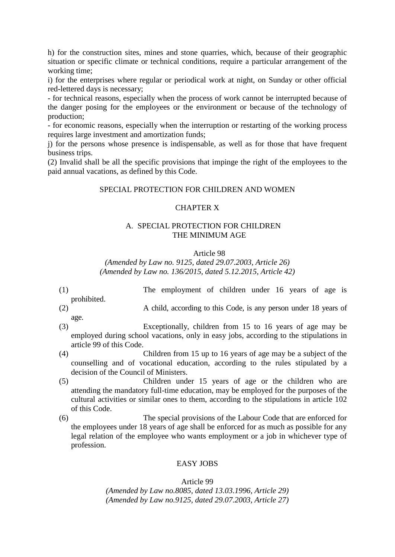h) for the construction sites, mines and stone quarries, which, because of their geographic situation or specific climate or technical conditions, require a particular arrangement of the working time;

i) for the enterprises where regular or periodical work at night, on Sunday or other official red-lettered days is necessary;

- for technical reasons, especially when the process of work cannot be interrupted because of the danger posing for the employees or the environment or because of the technology of production;

- for economic reasons, especially when the interruption or restarting of the working process requires large investment and amortization funds;

j) for the persons whose presence is indispensable, as well as for those that have frequent business trips.

(2) Invalid shall be all the specific provisions that impinge the right of the employees to the paid annual vacations, as defined by this Code.

### SPECIAL PROTECTION FOR CHILDREN AND WOMEN

# CHAPTER X

# A. SPECIAL PROTECTION FOR CHILDREN THE MINIMUM AGE

#### Article 98

*(Amended by Law no. 9125, dated 29.07.2003, Article 26) (Amended by Law no. 136/2015, dated 5.12.2015, Article 42)*

- (1) The employment of children under 16 years of age is prohibited.
- (2) A child, according to this Code, is any person under 18 years of age.
- (3) Exceptionally, children from 15 to 16 years of age may be employed during school vacations, only in easy jobs, according to the stipulations in article 99 of this Code.
- (4) Children from 15 up to 16 years of age may be a subject of the counselling and of vocational education, according to the rules stipulated by a decision of the Council of Ministers.
- (5) Children under 15 years of age or the children who are attending the mandatory full-time education, may be employed for the purposes of the cultural activities or similar ones to them, according to the stipulations in article 102 of this Code.
- (6) The special provisions of the Labour Code that are enforced for the employees under 18 years of age shall be enforced for as much as possible for any legal relation of the employee who wants employment or a job in whichever type of profession.

# EASY JOBS

Article 99

*(Amended by Law no.8085, dated 13.03.1996, Article 29) (Amended by Law no.9125, dated 29.07.2003, Article 27)*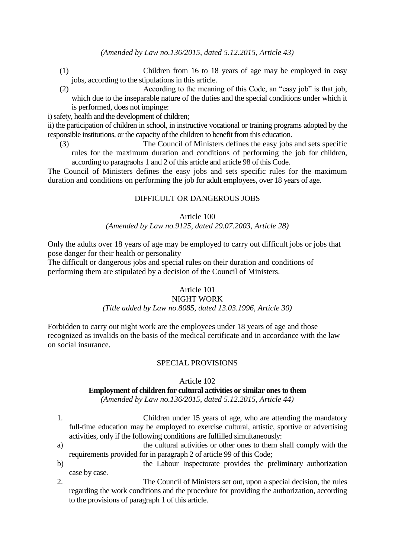- (1) Children from 16 to 18 years of age may be employed in easy jobs, according to the stipulations in this article.
- (2) According to the meaning of this Code, an "easy job" is that job, which due to the inseparable nature of the duties and the special conditions under which it is performed, does not impinge:

i) safety, health and the development of children;

ii) the participation of children in school, in instructive vocational or training programs adopted by the responsible institutions, or the capacity of the children to benefit from this education.

(3) The Council of Ministers defines the easy jobs and sets specific rules for the maximum duration and conditions of performing the job for children, according to paragraohs 1 and 2 of this article and article 98 of this Code.

The Council of Ministers defines the easy jobs and sets specific rules for the maximum duration and conditions on performing the job for adult employees, over 18 years of age.

# DIFFICULT OR DANGEROUS JOBS

#### Article 100

## *(Amended by Law no.9125, dated 29.07.2003, Article 28)*

Only the adults over 18 years of age may be employed to carry out difficult jobs or jobs that pose danger for their health or personality

The difficult or dangerous jobs and special rules on their duration and conditions of performing them are stipulated by a decision of the Council of Ministers.

# Article 101

# NIGHT WORK

# *(Title added by Law no.8085, dated 13.03.1996, Article 30)*

Forbidden to carry out night work are the employees under 18 years of age and those recognized as invalids on the basis of the medical certificate and in accordance with the law on social insurance.

# SPECIAL PROVISIONS

#### Article 102

# **Employment of children for cultural activities or similar ones to them**

*(Amended by Law no.136/2015, dated 5.12.2015, Article 44)*

- 1. Children under 15 years of age, who are attending the mandatory full-time education may be employed to exercise cultural, artistic, sportive or advertising activities, only if the following conditions are fulfilled simultaneously:
- a) the cultural activities or other ones to them shall comply with the requirements provided for in paragraph 2 of article 99 of this Code;
- b) the Labour Inspectorate provides the preliminary authorization case by case.

2. The Council of Ministers set out, upon a special decision, the rules regarding the work conditions and the procedure for providing the authorization, according to the provisions of paragraph 1 of this article.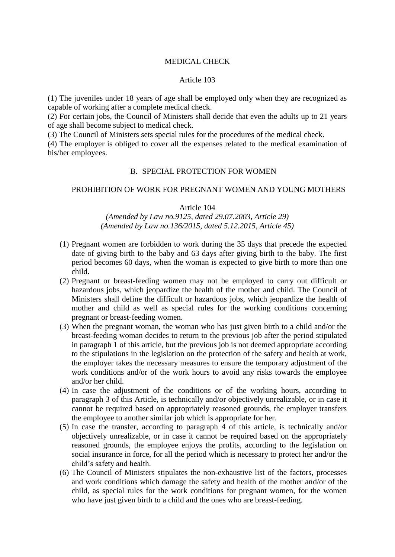## MEDICAL CHECK

#### Article 103

(1) The juveniles under 18 years of age shall be employed only when they are recognized as capable of working after a complete medical check.

(2) For certain jobs, the Council of Ministers shall decide that even the adults up to 21 years of age shall become subject to medical check.

(3) The Council of Ministers sets special rules for the procedures of the medical check.

(4) The employer is obliged to cover all the expenses related to the medical examination of his/her employees.

## B. SPECIAL PROTECTION FOR WOMEN

#### PROHIBITION OF WORK FOR PREGNANT WOMEN AND YOUNG MOTHERS

#### Article 104

# *(Amended by Law no.9125, dated 29.07.2003, Article 29) (Amended by Law no.136/2015, dated 5.12.2015, Article 45)*

- (1) Pregnant women are forbidden to work during the 35 days that precede the expected date of giving birth to the baby and 63 days after giving birth to the baby. The first period becomes 60 days, when the woman is expected to give birth to more than one child.
- (2) Pregnant or breast-feeding women may not be employed to carry out difficult or hazardous jobs, which jeopardize the health of the mother and child. The Council of Ministers shall define the difficult or hazardous jobs, which jeopardize the health of mother and child as well as special rules for the working conditions concerning pregnant or breast-feeding women.
- (3) When the pregnant woman, the woman who has just given birth to a child and/or the breast-feeding woman decides to return to the previous job after the period stipulated in paragraph 1 of this article, but the previous job is not deemed appropriate according to the stipulations in the legislation on the protection of the safety and health at work, the employer takes the necessary measures to ensure the temporary adjustment of the work conditions and/or of the work hours to avoid any risks towards the employee and/or her child.
- (4) In case the adjustment of the conditions or of the working hours, according to paragraph 3 of this Article, is technically and/or objectively unrealizable, or in case it cannot be required based on appropriately reasoned grounds, the employer transfers the employee to another similar job which is appropriate for her.
- (5) In case the transfer, according to paragraph 4 of this article, is technically and/or objectively unrealizable, or in case it cannot be required based on the appropriately reasoned grounds, the employee enjoys the profits, according to the legislation on social insurance in force, for all the period which is necessary to protect her and/or the child's safety and health.
- (6) The Council of Ministers stipulates the non-exhaustive list of the factors, processes and work conditions which damage the safety and health of the mother and/or of the child, as special rules for the work conditions for pregnant women, for the women who have just given birth to a child and the ones who are breast-feeding.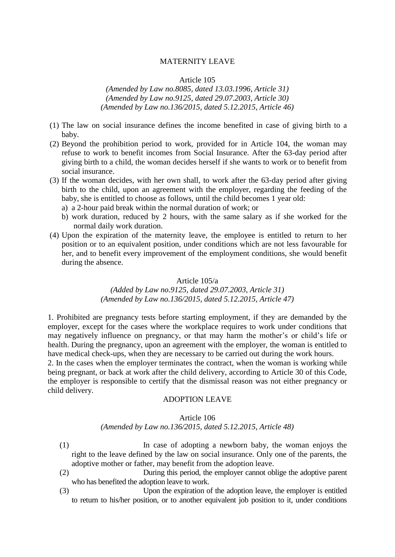#### MATERNITY LEAVE

#### Article 105

*(Amended by Law no.8085, dated 13.03.1996, Article 31) (Amended by Law no.9125, dated 29.07.2003, Article 30) (Amended by Law no.136/2015, dated 5.12.2015, Article 46)*

- (1) The law on social insurance defines the income benefited in case of giving birth to a baby.
- (2) Beyond the prohibition period to work, provided for in Article 104, the woman may refuse to work to benefit incomes from Social Insurance. After the 63-day period after giving birth to a child, the woman decides herself if she wants to work or to benefit from social insurance.
- (3) If the woman decides, with her own shall, to work after the 63-day period after giving birth to the child, upon an agreement with the employer, regarding the feeding of the baby, she is entitled to choose as follows, until the child becomes 1 year old:
	- a) a 2-hour paid break within the normal duration of work; or
	- b) work duration, reduced by 2 hours, with the same salary as if she worked for the normal daily work duration.
- (4) Upon the expiration of the maternity leave, the employee is entitled to return to her position or to an equivalent position, under conditions which are not less favourable for her, and to benefit every improvement of the employment conditions, she would benefit during the absence.

# Article 105/a

## *(Added by Law no.9125, dated 29.07.2003, Article 31) (Amended by Law no.136/2015, dated 5.12.2015, Article 47)*

1. Prohibited are pregnancy tests before starting employment, if they are demanded by the employer, except for the cases where the workplace requires to work under conditions that may negatively influence on pregnancy, or that may harm the mother's or child's life or health. During the pregnancy, upon an agreement with the employer, the woman is entitled to have medical check-ups, when they are necessary to be carried out during the work hours.

2. In the cases when the employer terminates the contract, when the woman is working while being pregnant, or back at work after the child delivery, according to Article 30 of this Code, the employer is responsible to certify that the dismissal reason was not either pregnancy or child delivery.

# ADOPTION LEAVE

#### Article 106

### *(Amended by Law no.136/2015, dated 5.12.2015, Article 48)*

- (1) In case of adopting a newborn baby, the woman enjoys the right to the leave defined by the law on social insurance. Only one of the parents, the adoptive mother or father, may benefit from the adoption leave.
- (2) During this period, the employer cannot oblige the adoptive parent who has benefited the adoption leave to work.
- (3) Upon the expiration of the adoption leave, the employer is entitled to return to his/her position, or to another equivalent job position to it, under conditions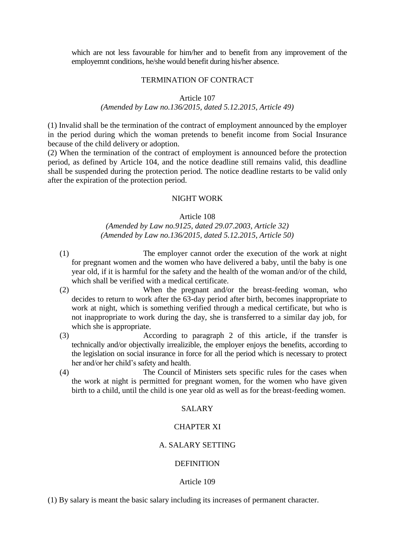which are not less favourable for him/her and to benefit from any improvement of the employemnt conditions, he/she would benefit during his/her absence.

#### TERMINATION OF CONTRACT

#### Article 107

## *(Amended by Law no.136/2015, dated 5.12.2015, Article 49)*

(1) Invalid shall be the termination of the contract of employment announced by the employer in the period during which the woman pretends to benefit income from Social Insurance because of the child delivery or adoption.

(2) When the termination of the contract of employment is announced before the protection period, as defined by Article 104, and the notice deadline still remains valid, this deadline shall be suspended during the protection period. The notice deadline restarts to be valid only after the expiration of the protection period.

#### NIGHT WORK

#### Article 108

*(Amended by Law no.9125, dated 29.07.2003, Article 32) (Amended by Law no.136/2015, dated 5.12.2015, Article 50)*

- (1) The employer cannot order the execution of the work at night for pregnant women and the women who have delivered a baby, until the baby is one year old, if it is harmful for the safety and the health of the woman and/or of the child, which shall be verified with a medical certificate.
- (2) When the pregnant and/or the breast-feeding woman, who decides to return to work after the 63-day period after birth, becomes inappropriate to work at night, which is something verified through a medical certificate, but who is not inappropriate to work during the day, she is transferred to a similar day job, for which she is appropriate.
- (3) According to paragraph 2 of this article, if the transfer is technically and/or objectivally irrealizible, the employer enjoys the benefits, according to the legislation on social insurance in force for all the period which is necessary to protect her and/or her child's safety and health.
- (4) The Council of Ministers sets specific rules for the cases when the work at night is permitted for pregnant women, for the women who have given birth to a child, until the child is one year old as well as for the breast-feeding women.

## SALARY

#### CHAPTER XI

# A. SALARY SETTING

#### DEFINITION

### Article 109

(1) By salary is meant the basic salary including its increases of permanent character.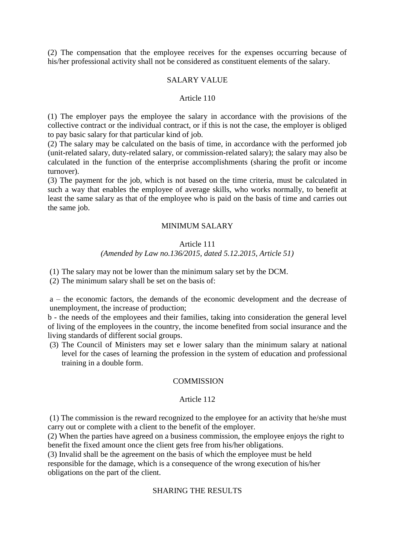(2) The compensation that the employee receives for the expenses occurring because of his/her professional activity shall not be considered as constituent elements of the salary.

#### SALARY VALUE

#### Article 110

(1) The employer pays the employee the salary in accordance with the provisions of the collective contract or the individual contract, or if this is not the case, the employer is obliged to pay basic salary for that particular kind of job.

(2) The salary may be calculated on the basis of time, in accordance with the performed job (unit-related salary, duty-related salary, or commission-related salary); the salary may also be calculated in the function of the enterprise accomplishments (sharing the profit or income turnover).

(3) The payment for the job, which is not based on the time criteria, must be calculated in such a way that enables the employee of average skills, who works normally, to benefit at least the same salary as that of the employee who is paid on the basis of time and carries out the same job.

#### MINIMUM SALARY

# Article 111 *(Amended by Law no.136/2015, dated 5.12.2015, Article 51)*

(1) The salary may not be lower than the minimum salary set by the DCM.

(2) The minimum salary shall be set on the basis of:

a – the economic factors, the demands of the economic development and the decrease of unemployment, the increase of production;

b - the needs of the employees and their families, taking into consideration the general level of living of the employees in the country, the income benefited from social insurance and the living standards of different social groups.

(3) The Council of Ministers may set e lower salary than the minimum salary at national level for the cases of learning the profession in the system of education and professional training in a double form.

## **COMMISSION**

#### Article 112

(1) The commission is the reward recognized to the employee for an activity that he/she must carry out or complete with a client to the benefit of the employer.

(2) When the parties have agreed on a business commission, the employee enjoys the right to benefit the fixed amount once the client gets free from his/her obligations.

(3) Invalid shall be the agreement on the basis of which the employee must be held responsible for the damage, which is a consequence of the wrong execution of his/her obligations on the part of the client.

# SHARING THE RESULTS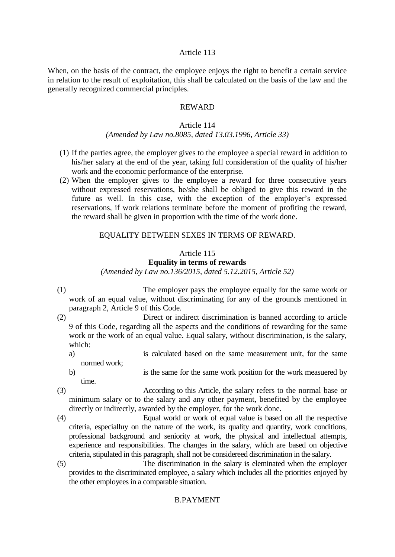## Article 113

When, on the basis of the contract, the employee enjoys the right to benefit a certain service in relation to the result of exploitation, this shall be calculated on the basis of the law and the generally recognized commercial principles.

# REWARD

## Article 114

## *(Amended by Law no.8085, dated 13.03.1996, Article 33)*

- (1) If the parties agree, the employer gives to the employee a special reward in addition to his/her salary at the end of the year, taking full consideration of the quality of his/her work and the economic performance of the enterprise.
- (2) When the employer gives to the employee a reward for three consecutive years without expressed reservations, he/she shall be obliged to give this reward in the future as well. In this case, with the exception of the employer's expressed reservations, if work relations terminate before the moment of profiting the reward, the reward shall be given in proportion with the time of the work done.

# EQUALITY BETWEEN SEXES IN TERMS OF REWARD.

# Article 115

# **Equality in terms of rewards**

*(Amended by Law no.136/2015, dated 5.12.2015, Article 52)*

(1) The employer pays the employee equally for the same work or work of an equal value, without discriminating for any of the grounds mentioned in paragraph 2, Article 9 of this Code.

(2) Direct or indirect discrimination is banned according to article 9 of this Code, regarding all the aspects and the conditions of rewarding for the same work or the work of an equal value. Equal salary, without discrimination, is the salary, which:

- a) is calculated based on the same measurement unit, for the same normed work;
- b) is the same for the same work position for the work measuered by time.

(3) According to this Article, the salary refers to the normal base or minimum salary or to the salary and any other payment, benefited by the employee directly or indirectly, awarded by the employer, for the work done.

- (4) Equal workl or work of equal value is based on all the respective criteria, especialluy on the nature of the work, its quality and quantity, work conditions, professional background and seniority at work, the physical and intellectual attempts, experience and responsibilities. The changes in the salary, which are based on objective criteria, stipulated in this paragraph, shall not be considereed discrimination in the salary.
- (5) The discrimination in the salary is eleminated when the employer provides to the discriminated employee, a salary which includes all the priorities enjoyed by the other employees in a comparable situation.

# B.PAYMENT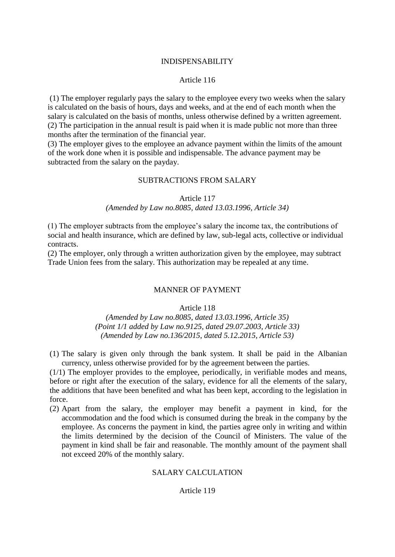## INDISPENSABILITY

## Article 116

(1) The employer regularly pays the salary to the employee every two weeks when the salary is calculated on the basis of hours, days and weeks, and at the end of each month when the salary is calculated on the basis of months, unless otherwise defined by a written agreement. (2) The participation in the annual result is paid when it is made public not more than three months after the termination of the financial year.

(3) The employer gives to the employee an advance payment within the limits of the amount of the work done when it is possible and indispensable. The advance payment may be subtracted from the salary on the payday.

# SUBTRACTIONS FROM SALARY

#### Article 117

## *(Amended by Law no.8085, dated 13.03.1996, Article 34)*

(1) The employer subtracts from the employee's salary the income tax, the contributions of social and health insurance, which are defined by law, sub-legal acts, collective or individual contracts.

(2) The employer, only through a written authorization given by the employee, may subtract Trade Union fees from the salary. This authorization may be repealed at any time.

#### MANNER OF PAYMENT

### Article 118

*(Amended by Law no.8085, dated 13.03.1996, Article 35) (Point 1/1 added by Law no.9125, dated 29.07.2003, Article 33) (Amended by Law no.136/2015, dated 5.12.2015, Article 53)*

(1) The salary is given only through the bank system. It shall be paid in the Albanian currency, unless otherwise provided for by the agreement between the parties.

(1/1) The employer provides to the employee, periodically, in verifiable modes and means, before or right after the execution of the salary, evidence for all the elements of the salary, the additions that have been benefited and what has been kept, according to the legislation in force.

(2) Apart from the salary, the employer may benefit a payment in kind, for the accommodation and the food which is consumed during the break in the company by the employee. As concerns the payment in kind, the parties agree only in writing and within the limits determined by the decision of the Council of Ministers. The value of the payment in kind shall be fair and reasonable. The monthly amount of the payment shall not exceed 20% of the monthly salary.

### SALARY CALCULATION

# Article 119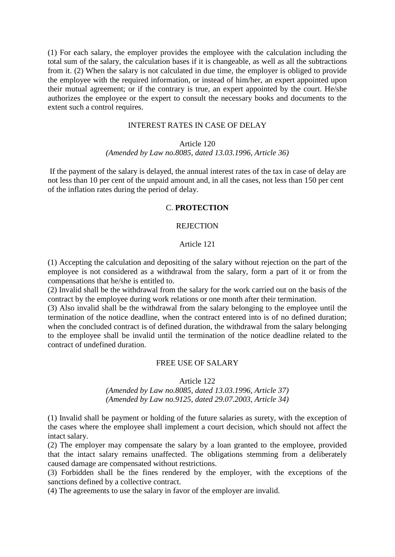(1) For each salary, the employer provides the employee with the calculation including the total sum of the salary, the calculation bases if it is changeable, as well as all the subtractions from it. (2) When the salary is not calculated in due time, the employer is obliged to provide the employee with the required information, or instead of him/her, an expert appointed upon their mutual agreement; or if the contrary is true, an expert appointed by the court. He/she authorizes the employee or the expert to consult the necessary books and documents to the extent such a control requires.

### INTEREST RATES IN CASE OF DELAY

#### Article 120

## *(Amended by Law no.8085, dated 13.03.1996, Article 36)*

If the payment of the salary is delayed, the annual interest rates of the tax in case of delay are not less than 10 per cent of the unpaid amount and, in all the cases, not less than 150 per cent of the inflation rates during the period of delay.

# C. **PROTECTION**

### **REJECTION**

### Article 121

(1) Accepting the calculation and depositing of the salary without rejection on the part of the employee is not considered as a withdrawal from the salary, form a part of it or from the compensations that he/she is entitled to.

(2) Invalid shall be the withdrawal from the salary for the work carried out on the basis of the contract by the employee during work relations or one month after their termination.

(3) Also invalid shall be the withdrawal from the salary belonging to the employee until the termination of the notice deadline, when the contract entered into is of no defined duration; when the concluded contract is of defined duration, the withdrawal from the salary belonging to the employee shall be invalid until the termination of the notice deadline related to the contract of undefined duration.

#### FREE USE OF SALARY

Article 122

# *(Amended by Law no.8085, dated 13.03.1996, Article 37) (Amended by Law no.9125, dated 29.07.2003, Article 34)*

(1) Invalid shall be payment or holding of the future salaries as surety, with the exception of the cases where the employee shall implement a court decision, which should not affect the intact salary.

(2) The employer may compensate the salary by a loan granted to the employee, provided that the intact salary remains unaffected. The obligations stemming from a deliberately caused damage are compensated without restrictions.

(3) Forbidden shall be the fines rendered by the employer, with the exceptions of the sanctions defined by a collective contract.

(4) The agreements to use the salary in favor of the employer are invalid.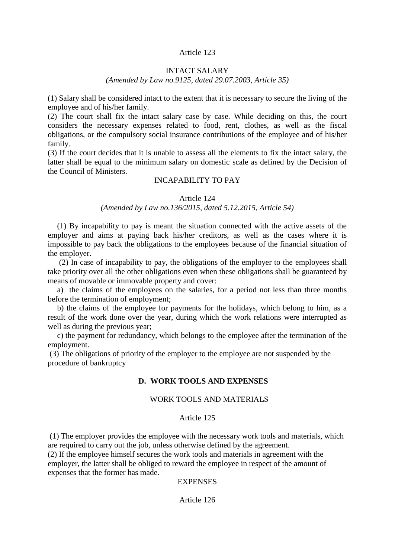## Article 123

# INTACT SALARY

# *(Amended by Law no.9125, dated 29.07.2003, Article 35)*

(1) Salary shall be considered intact to the extent that it is necessary to secure the living of the employee and of his/her family.

(2) The court shall fix the intact salary case by case. While deciding on this, the court considers the necessary expenses related to food, rent, clothes, as well as the fiscal obligations, or the compulsory social insurance contributions of the employee and of his/her family.

(3) If the court decides that it is unable to assess all the elements to fix the intact salary, the latter shall be equal to the minimum salary on domestic scale as defined by the Decision of the Council of Ministers.

## INCAPABILITY TO PAY

#### Article 124

## *(Amended by Law no.136/2015, dated 5.12.2015, Article 54)*

(1) By incapability to pay is meant the situation connected with the active assets of the employer and aims at paying back his/her creditors, as well as the cases where it is impossible to pay back the obligations to the employees because of the financial situation of the employer.

(2) In case of incapability to pay, the obligations of the employer to the employees shall take priority over all the other obligations even when these obligations shall be guaranteed by means of movable or immovable property and cover:

a) the claims of the employees on the salaries, for a period not less than three months before the termination of employment;

b) the claims of the employee for payments for the holidays, which belong to him, as a result of the work done over the year, during which the work relations were interrupted as well as during the previous year;

c) the payment for redundancy, which belongs to the employee after the termination of the employment.

(3) The obligations of priority of the employer to the employee are not suspended by the procedure of bankruptcy

# **D. WORK TOOLS AND EXPENSES**

#### WORK TOOLS AND MATERIALS

#### Article 125

(1) The employer provides the employee with the necessary work tools and materials, which are required to carry out the job, unless otherwise defined by the agreement.

(2) If the employee himself secures the work tools and materials in agreement with the employer, the latter shall be obliged to reward the employee in respect of the amount of expenses that the former has made.

# **EXPENSES**

#### Article 126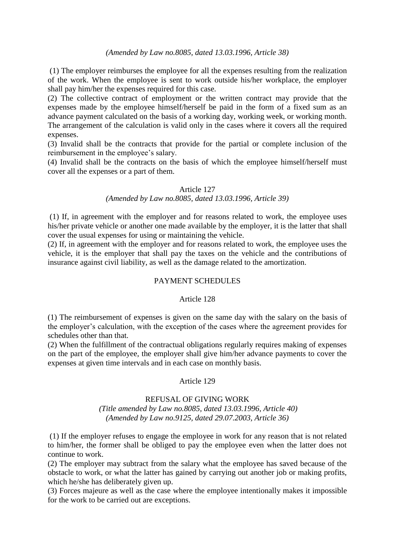## *(Amended by Law no.8085, dated 13.03.1996, Article 38)*

(1) The employer reimburses the employee for all the expenses resulting from the realization of the work. When the employee is sent to work outside his/her workplace, the employer shall pay him/her the expenses required for this case.

(2) The collective contract of employment or the written contract may provide that the expenses made by the employee himself/herself be paid in the form of a fixed sum as an advance payment calculated on the basis of a working day, working week, or working month. The arrangement of the calculation is valid only in the cases where it covers all the required expenses.

(3) Invalid shall be the contracts that provide for the partial or complete inclusion of the reimbursement in the employee's salary.

(4) Invalid shall be the contracts on the basis of which the employee himself/herself must cover all the expenses or a part of them.

## Article 127

# *(Amended by Law no.8085, dated 13.03.1996, Article 39)*

(1) If, in agreement with the employer and for reasons related to work, the employee uses his/her private vehicle or another one made available by the employer, it is the latter that shall cover the usual expenses for using or maintaining the vehicle.

(2) If, in agreement with the employer and for reasons related to work, the employee uses the vehicle, it is the employer that shall pay the taxes on the vehicle and the contributions of insurance against civil liability, as well as the damage related to the amortization.

# PAYMENT SCHEDULES

#### Article 128

(1) The reimbursement of expenses is given on the same day with the salary on the basis of the employer's calculation, with the exception of the cases where the agreement provides for schedules other than that.

(2) When the fulfillment of the contractual obligations regularly requires making of expenses on the part of the employee, the employer shall give him/her advance payments to cover the expenses at given time intervals and in each case on monthly basis.

#### Article 129

# REFUSAL OF GIVING WORK *(Title amended by Law no.8085, dated 13.03.1996, Article 40) (Amended by Law no.9125, dated 29.07.2003, Article 36)*

(1) If the employer refuses to engage the employee in work for any reason that is not related to him/her, the former shall be obliged to pay the employee even when the latter does not continue to work.

(2) The employer may subtract from the salary what the employee has saved because of the obstacle to work, or what the latter has gained by carrying out another job or making profits, which he/she has deliberately given up.

(3) Forces majeure as well as the case where the employee intentionally makes it impossible for the work to be carried out are exceptions.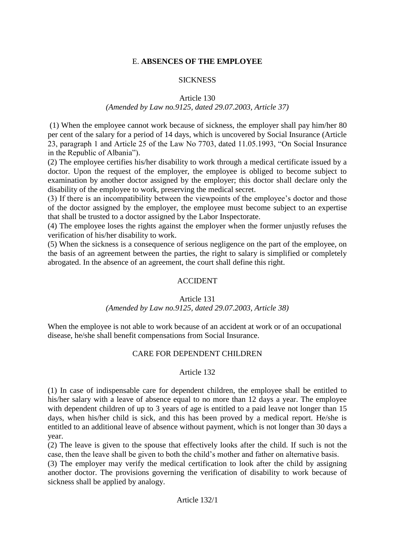# E. **ABSENCES OF THE EMPLOYEE**

# **SICKNESS**

# Article 130

# *(Amended by Law no.9125, dated 29.07.2003, Article 37)*

(1) When the employee cannot work because of sickness, the employer shall pay him/her 80 per cent of the salary for a period of 14 days, which is uncovered by Social Insurance (Article 23, paragraph 1 and Article 25 of the Law No 7703, dated 11.05.1993, "On Social Insurance in the Republic of Albania").

(2) The employee certifies his/her disability to work through a medical certificate issued by a doctor. Upon the request of the employer, the employee is obliged to become subject to examination by another doctor assigned by the employer; this doctor shall declare only the disability of the employee to work, preserving the medical secret.

(3) If there is an incompatibility between the viewpoints of the employee's doctor and those of the doctor assigned by the employer, the employee must become subject to an expertise that shall be trusted to a doctor assigned by the Labor Inspectorate.

(4) The employee loses the rights against the employer when the former unjustly refuses the verification of his/her disability to work.

(5) When the sickness is a consequence of serious negligence on the part of the employee, on the basis of an agreement between the parties, the right to salary is simplified or completely abrogated. In the absence of an agreement, the court shall define this right.

# ACCIDENT

# Article 131

# *(Amended by Law no.9125, dated 29.07.2003, Article 38)*

When the employee is not able to work because of an accident at work or of an occupational disease, he/she shall benefit compensations from Social Insurance.

# CARE FOR DEPENDENT CHILDREN

# Article 132

(1) In case of indispensable care for dependent children, the employee shall be entitled to his/her salary with a leave of absence equal to no more than 12 days a year. The employee with dependent children of up to 3 years of age is entitled to a paid leave not longer than 15 days, when his/her child is sick, and this has been proved by a medical report. He/she is entitled to an additional leave of absence without payment, which is not longer than 30 days a year.

(2) The leave is given to the spouse that effectively looks after the child. If such is not the case, then the leave shall be given to both the child's mother and father on alternative basis.

(3) The employer may verify the medical certification to look after the child by assigning another doctor. The provisions governing the verification of disability to work because of sickness shall be applied by analogy.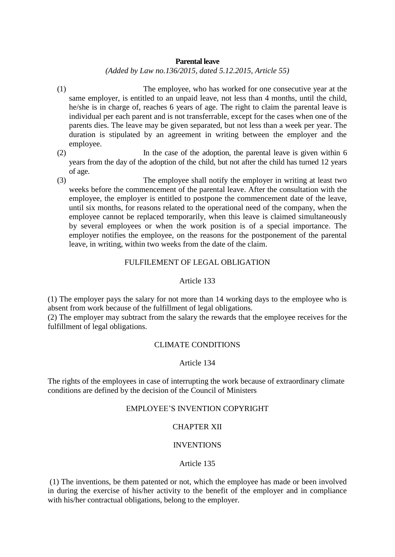## **Parental leave**

*(Added by Law no.136/2015, dated 5.12.2015, Article 55)*

- (1) The employee, who has worked for one consecutive year at the same employer, is entitled to an unpaid leave, not less than 4 months, until the child, he/she is in charge of, reaches 6 years of age. The right to claim the parental leave is individual per each parent and is not transferrable, except for the cases when one of the parents dies. The leave may be given separated, but not less than a week per year. The duration is stipulated by an agreement in writing between the employer and the employee.
- (2) In the case of the adoption, the parental leave is given within 6 years from the day of the adoption of the child, but not after the child has turned 12 years of age.
- (3) The employee shall notify the employer in writing at least two weeks before the commencement of the parental leave. After the consultation with the employee, the employer is entitled to postpone the commencement date of the leave, until six months, for reasons related to the operational need of the company, when the employee cannot be replaced temporarily, when this leave is claimed simultaneously by several employees or when the work position is of a special importance. The employer notifies the employee, on the reasons for the postponement of the parental leave, in writing, within two weeks from the date of the claim.

# FULFILEMENT OF LEGAL OBLIGATION

# Article 133

(1) The employer pays the salary for not more than 14 working days to the employee who is absent from work because of the fulfillment of legal obligations.

(2) The employer may subtract from the salary the rewards that the employee receives for the fulfillment of legal obligations.

# CLIMATE CONDITIONS

# Article 134

The rights of the employees in case of interrupting the work because of extraordinary climate conditions are defined by the decision of the Council of Ministers

# EMPLOYEE'S INVENTION COPYRIGHT

# CHAPTER XII

# INVENTIONS

### Article 135

(1) The inventions, be them patented or not, which the employee has made or been involved in during the exercise of his/her activity to the benefit of the employer and in compliance with his/her contractual obligations, belong to the employer.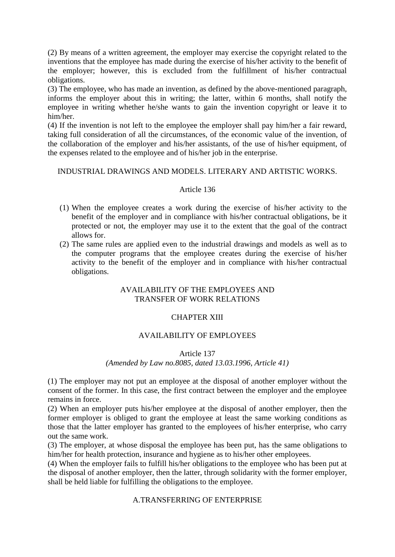(2) By means of a written agreement, the employer may exercise the copyright related to the inventions that the employee has made during the exercise of his/her activity to the benefit of the employer; however, this is excluded from the fulfillment of his/her contractual obligations.

(3) The employee, who has made an invention, as defined by the above-mentioned paragraph, informs the employer about this in writing; the latter, within 6 months, shall notify the employee in writing whether he/she wants to gain the invention copyright or leave it to him/her.

(4) If the invention is not left to the employee the employer shall pay him/her a fair reward, taking full consideration of all the circumstances, of the economic value of the invention, of the collaboration of the employer and his/her assistants, of the use of his/her equipment, of the expenses related to the employee and of his/her job in the enterprise.

# INDUSTRIAL DRAWINGS AND MODELS. LITERARY AND ARTISTIC WORKS.

# Article 136

- (1) When the employee creates a work during the exercise of his/her activity to the benefit of the employer and in compliance with his/her contractual obligations, be it protected or not, the employer may use it to the extent that the goal of the contract allows for.
- (2) The same rules are applied even to the industrial drawings and models as well as to the computer programs that the employee creates during the exercise of his/her activity to the benefit of the employer and in compliance with his/her contractual obligations.

# AVAILABILITY OF THE EMPLOYEES AND TRANSFER OF WORK RELATIONS

# CHAPTER XIII

# AVAILABILITY OF EMPLOYEES

# Article 137 *(Amended by Law no.8085, dated 13.03.1996, Article 41)*

(1) The employer may not put an employee at the disposal of another employer without the consent of the former. In this case, the first contract between the employer and the employee remains in force.

(2) When an employer puts his/her employee at the disposal of another employer, then the former employer is obliged to grant the employee at least the same working conditions as those that the latter employer has granted to the employees of his/her enterprise, who carry out the same work.

(3) The employer, at whose disposal the employee has been put, has the same obligations to him/her for health protection, insurance and hygiene as to his/her other employees.

(4) When the employer fails to fulfill his/her obligations to the employee who has been put at the disposal of another employer, then the latter, through solidarity with the former employer, shall be held liable for fulfilling the obligations to the employee.

# A.TRANSFERRING OF ENTERPRISE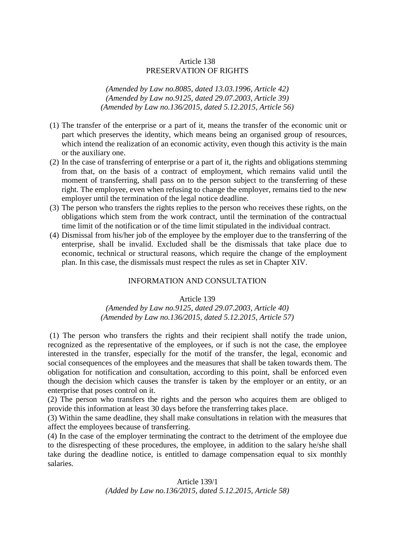# Article 138 PRESERVATION OF RIGHTS

*(Amended by Law no.8085, dated 13.03.1996, Article 42) (Amended by Law no.9125, dated 29.07.2003, Article 39) (Amended by Law no.136/2015, dated 5.12.2015, Article 56)*

- (1) The transfer of the enterprise or a part of it, means the transfer of the economic unit or part which preserves the identity, which means being an organised group of resources, which intend the realization of an economic activity, even though this activity is the main or the auxiliary one.
- (2) In the case of transferring of enterprise or a part of it, the rights and obligations stemming from that, on the basis of a contract of employment, which remains valid until the moment of transferring, shall pass on to the person subject to the transferring of these right. The employee, even when refusing to change the employer, remains tied to the new employer until the termination of the legal notice deadline.
- (3) The person who transfers the rights replies to the person who receives these rights, on the obligations which stem from the work contract, until the termination of the contractual time limit of the notification or of the time limit stipulated in the individual contract.
- (4) Dismissal from his/her job of the employee by the employer due to the transferring of the enterprise, shall be invalid. Excluded shall be the dismissals that take place due to economic, technical or structural reasons, which require the change of the employment plan. In this case, the dismissals must respect the rules as set in Chapter XIV.

# INFORMATION AND CONSULTATION

#### Article 139

## *(Amended by Law no.9125, dated 29.07.2003, Article 40) (Amended by Law no.136/2015, dated 5.12.2015, Article 57)*

(1) The person who transfers the rights and their recipient shall notify the trade union, recognized as the representative of the employees, or if such is not the case, the employee interested in the transfer, especially for the motif of the transfer, the legal, economic and social consequences of the employees and the measures that shall be taken towards them. The obligation for notification and consultation, according to this point, shall be enforced even though the decision which causes the transfer is taken by the employer or an entity, or an enterprise that poses control on it.

(2) The person who transfers the rights and the person who acquires them are obliged to provide this information at least 30 days before the transferring takes place.

(3) Within the same deadline, they shall make consultations in relation with the measures that affect the employees because of transferring.

(4) In the case of the employer terminating the contract to the detriment of the employee due to the disrespecting of these procedures, the employee, in addition to the salary he/she shall take during the deadline notice, is entitled to damage compensation equal to six monthly salaries.

# Article 139/1 *(Added by Law no.136/2015, dated 5.12.2015, Article 58)*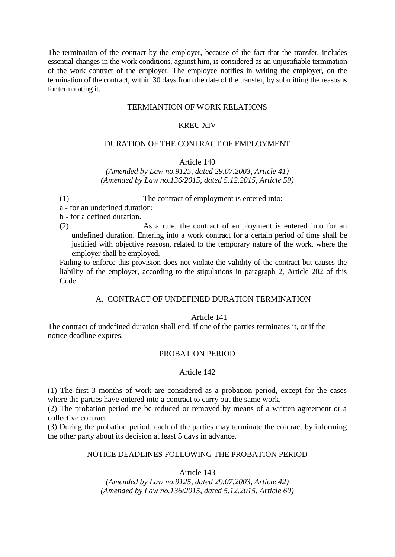The termination of the contract by the employer, because of the fact that the transfer, includes essential changes in the work conditions, against him, is considered as an unjustifiable termination of the work contract of the employer. The employee notifies in writing the employer, on the termination of the contract, within 30 days from the date of the transfer, by submitting the reasosns for terminating it.

# TERMIANTION OF WORK RELATIONS

## KREU XIV

# DURATION OF THE CONTRACT OF EMPLOYMENT

## Article 140

*(Amended by Law no.9125, dated 29.07.2003, Article 41) (Amended by Law no.136/2015, dated 5.12.2015, Article 59)*

(1) The contract of employment is entered into:

a - for an undefined duration;

b - for a defined duration.

(2) As a rule, the contract of employment is entered into for an undefined duration. Entering into a work contract for a certain period of time shall be justified with objective reasosn, related to the temporary nature of the work, where the employer shall be employed.

Failing to enforce this provision does not violate the validity of the contract but causes the liability of the employer, according to the stipulations in paragraph 2, Article 202 of this Code.

# A. CONTRACT OF UNDEFINED DURATION TERMINATION

# Article 141

The contract of undefined duration shall end, if one of the parties terminates it, or if the notice deadline expires.

# PROBATION PERIOD

# Article 142

(1) The first 3 months of work are considered as a probation period, except for the cases where the parties have entered into a contract to carry out the same work.

(2) The probation period me be reduced or removed by means of a written agreement or a collective contract.

(3) During the probation period, each of the parties may terminate the contract by informing the other party about its decision at least 5 days in advance.

# NOTICE DEADLINES FOLLOWING THE PROBATION PERIOD

Article 143

*(Amended by Law no.9125, dated 29.07.2003, Article 42) (Amended by Law no.136/2015, dated 5.12.2015, Article 60)*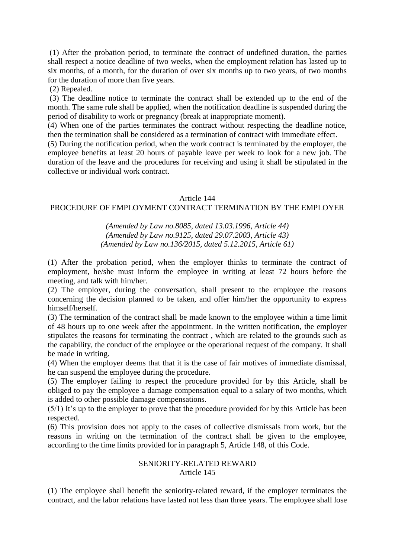(1) After the probation period, to terminate the contract of undefined duration, the parties shall respect a notice deadline of two weeks, when the employment relation has lasted up to six months, of a month, for the duration of over six months up to two years, of two months for the duration of more than five years.

(2) Repealed.

(3) The deadline notice to terminate the contract shall be extended up to the end of the month. The same rule shall be applied, when the notification deadline is suspended during the period of disability to work or pregnancy (break at inappropriate moment).

(4) When one of the parties terminates the contract without respecting the deadline notice, then the termination shall be considered as a termination of contract with immediate effect.

(5) During the notification period, when the work contract is terminated by the employer, the employee benefits at least 20 hours of payable leave per week to look for a new job. The duration of the leave and the procedures for receiving and using it shall be stipulated in the collective or individual work contract.

#### Article 144

## PROCEDURE OF EMPLOYMENT CONTRACT TERMINATION BY THE EMPLOYER

*(Amended by Law no.8085, dated 13.03.1996, Article 44) (Amended by Law no.9125, dated 29.07.2003, Article 43) (Amended by Law no.136/2015, dated 5.12.2015, Article 61)*

(1) After the probation period, when the employer thinks to terminate the contract of employment, he/she must inform the employee in writing at least 72 hours before the meeting, and talk with him/her.

(2) The employer, during the conversation, shall present to the employee the reasons concerning the decision planned to be taken, and offer him/her the opportunity to express himself/herself.

(3) The termination of the contract shall be made known to the employee within a time limit of 48 hours up to one week after the appointment. In the written notification, the employer stipulates the reasons for terminating the contract , which are related to the grounds such as the capability, the conduct of the employee or the operational request of the company. It shall be made in writing.

(4) When the employer deems that that it is the case of fair motives of immediate dismissal, he can suspend the employee during the procedure.

(5) The employer failing to respect the procedure provided for by this Article, shall be obliged to pay the employee a damage compensation equal to a salary of two months, which is added to other possible damage compensations.

(5/1) It's up to the employer to prove that the procedure provided for by this Article has been respected.

(6) This provision does not apply to the cases of collective dismissals from work, but the reasons in writing on the termination of the contract shall be given to the employee, according to the time limits provided for in paragraph 5, Article 148, of this Code.

## SENIORITY-RELATED REWARD Article 145

(1) The employee shall benefit the seniority-related reward, if the employer terminates the contract, and the labor relations have lasted not less than three years. The employee shall lose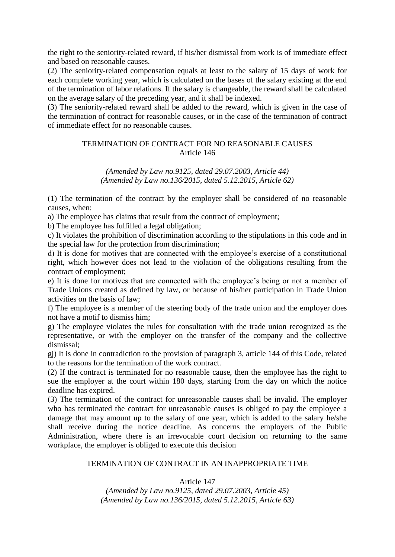the right to the seniority-related reward, if his/her dismissal from work is of immediate effect and based on reasonable causes.

(2) The seniority-related compensation equals at least to the salary of 15 days of work for each complete working year, which is calculated on the bases of the salary existing at the end of the termination of labor relations. If the salary is changeable, the reward shall be calculated on the average salary of the preceding year, and it shall be indexed.

(3) The seniority-related reward shall be added to the reward, which is given in the case of the termination of contract for reasonable causes, or in the case of the termination of contract of immediate effect for no reasonable causes.

# TERMINATION OF CONTRACT FOR NO REASONABLE CAUSES Article 146

*(Amended by Law no.9125, dated 29.07.2003, Article 44) (Amended by Law no.136/2015, dated 5.12.2015, Article 62)*

(1) The termination of the contract by the employer shall be considered of no reasonable causes, when:

a) The employee has claims that result from the contract of employment;

b) The employee has fulfilled a legal obligation;

c) It violates the prohibition of discrimination according to the stipulations in this code and in the special law for the protection from discrimination;

d) It is done for motives that are connected with the employee's exercise of a constitutional right, which however does not lead to the violation of the obligations resulting from the contract of employment;

e) It is done for motives that are connected with the employee's being or not a member of Trade Unions created as defined by law, or because of his/her participation in Trade Union activities on the basis of law;

f) The employee is a member of the steering body of the trade union and the employer does not have a motif to dismiss him;

g) The employee violates the rules for consultation with the trade union recognized as the representative, or with the employer on the transfer of the company and the collective dismissal;

gj) It is done in contradiction to the provision of paragraph 3, article 144 of this Code, related to the reasons for the termination of the work contract.

(2) If the contract is terminated for no reasonable cause, then the employee has the right to sue the employer at the court within 180 days, starting from the day on which the notice deadline has expired.

(3) The termination of the contract for unreasonable causes shall be invalid. The employer who has terminated the contract for unreasonable causes is obliged to pay the employee a damage that may amount up to the salary of one year, which is added to the salary he/she shall receive during the notice deadline. As concerns the employers of the Public Administration, where there is an irrevocable court decision on returning to the same workplace, the employer is obliged to execute this decision

# TERMINATION OF CONTRACT IN AN INAPPROPRIATE TIME

# Article 147

*(Amended by Law no.9125, dated 29.07.2003, Article 45) (Amended by Law no.136/2015, dated 5.12.2015, Article 63)*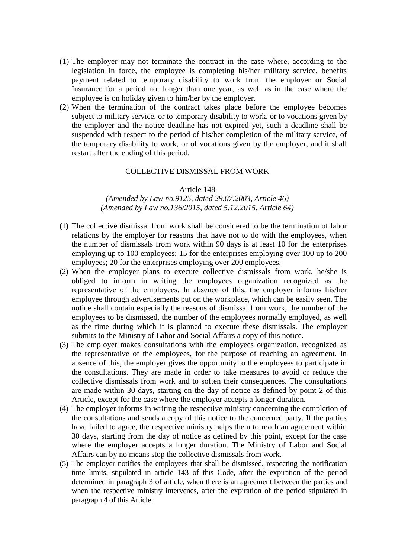- (1) The employer may not terminate the contract in the case where, according to the legislation in force, the employee is completing his/her military service, benefits payment related to temporary disability to work from the employer or Social Insurance for a period not longer than one year, as well as in the case where the employee is on holiday given to him/her by the employer.
- (2) When the termination of the contract takes place before the employee becomes subject to military service, or to temporary disability to work, or to vocations given by the employer and the notice deadline has not expired yet, such a deadline shall be suspended with respect to the period of his/her completion of the military service, of the temporary disability to work, or of vocations given by the employer, and it shall restart after the ending of this period.

## COLLECTIVE DISMISSAL FROM WORK

#### Article 148

## *(Amended by Law no.9125, dated 29.07.2003, Article 46) (Amended by Law no.136/2015, dated 5.12.2015, Article 64)*

- (1) The collective dismissal from work shall be considered to be the termination of labor relations by the employer for reasons that have not to do with the employees, when the number of dismissals from work within 90 days is at least 10 for the enterprises employing up to 100 employees; 15 for the enterprises employing over 100 up to 200 employees; 20 for the enterprises employing over 200 employees.
- (2) When the employer plans to execute collective dismissals from work, he/she is obliged to inform in writing the employees organization recognized as the representative of the employees. In absence of this, the employer informs his/her employee through advertisements put on the workplace, which can be easily seen. The notice shall contain especially the reasons of dismissal from work, the number of the employees to be dismissed, the number of the employees normally employed, as well as the time during which it is planned to execute these dismissals. The employer submits to the Ministry of Labor and Social Affairs a copy of this notice.
- (3) The employer makes consultations with the employees organization, recognized as the representative of the employees, for the purpose of reaching an agreement. In absence of this, the employer gives the opportunity to the employees to participate in the consultations. They are made in order to take measures to avoid or reduce the collective dismissals from work and to soften their consequences. The consultations are made within 30 days, starting on the day of notice as defined by point 2 of this Article, except for the case where the employer accepts a longer duration.
- (4) The employer informs in writing the respective ministry concerning the completion of the consultations and sends a copy of this notice to the concerned party. If the parties have failed to agree, the respective ministry helps them to reach an agreement within 30 days, starting from the day of notice as defined by this point, except for the case where the employer accepts a longer duration. The Ministry of Labor and Social Affairs can by no means stop the collective dismissals from work.
- (5) The employer notifies the employees that shall be dismissed, respecting the notification time limits, stipulated in article 143 of this Code, after the expiration of the period determined in paragraph 3 of article, when there is an agreement between the parties and when the respective ministry intervenes, after the expiration of the period stipulated in paragraph 4 of this Article.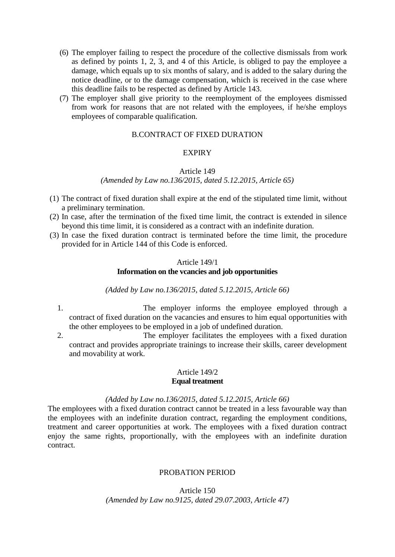- (6) The employer failing to respect the procedure of the collective dismissals from work as defined by points 1, 2, 3, and 4 of this Article, is obliged to pay the employee a damage, which equals up to six months of salary, and is added to the salary during the notice deadline, or to the damage compensation, which is received in the case where this deadline fails to be respected as defined by Article 143.
- (7) The employer shall give priority to the reemployment of the employees dismissed from work for reasons that are not related with the employees, if he/she employs employees of comparable qualification.

# B.CONTRACT OF FIXED DURATION

## **EXPIRY**

#### Article 149

### *(Amended by Law no.136/2015, dated 5.12.2015, Article 65)*

- (1) The contract of fixed duration shall expire at the end of the stipulated time limit, without a preliminary termination.
- (2) In case, after the termination of the fixed time limit, the contract is extended in silence beyond this time limit, it is considered as a contract with an indefinite duration.
- (3) In case the fixed duration contract is terminated before the time limit, the procedure provided for in Article 144 of this Code is enforced.

# Article 149/1

# **Information on the vcancies and job opportunities**

#### *(Added by Law no.136/2015, dated 5.12.2015, Article 66)*

- 1. The employer informs the employee employed through a contract of fixed duration on the vacancies and ensures to him equal opportunities with the other employees to be employed in a job of undefined duration.
- 2. The employer facilitates the employees with a fixed duration contract and provides appropriate trainings to increase their skills, career development and movability at work.

## Article 149/2 **Equal treatment**

#### *(Added by Law no.136/2015, dated 5.12.2015, Article 66)*

The employees with a fixed duration contract cannot be treated in a less favourable way than the employees with an indefinite duration contract, regarding the employment conditions, treatment and career opportunities at work. The employees with a fixed duration contract enjoy the same rights, proportionally, with the employees with an indefinite duration contract.

# PROBATION PERIOD

# Article 150 *(Amended by Law no.9125, dated 29.07.2003, Article 47)*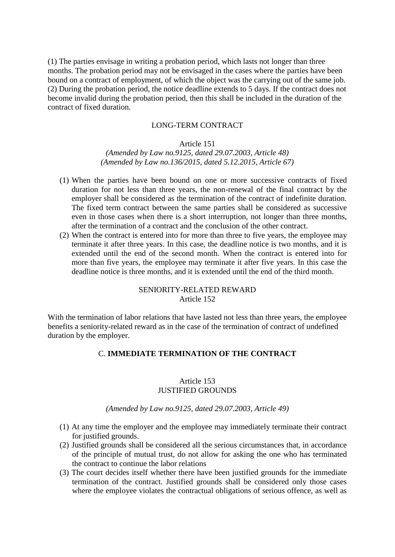(1) The parties envisage in writing a probation period, which lasts not longer than three months. The probation period may not be envisaged in the cases where the parties have been bound on a contract of employment, of which the object was the carrying out of the same job. (2) During the probation period, the notice deadline extends to 5 days. If the contract does not become invalid during the probation period, then this shall be included in the duration of the contract of fixed duration.

### LONG-TERM CONTRACT

## Article 151

*(Amended by Law no.9125, dated 29.07.2003, Article 48) (Amended by Law no.136/2015, dated 5.12.2015, Article 67)*

- (1) When the parties have been bound on one or more successive contracts of fixed duration for not less than three years, the non-renewal of the final contract by the employer shall be considered as the termination of the contract of indefinite duration. The fixed term contract between the same parties shall be considered as successive even in those cases when there is a short interruption, not longer than three months, after the termination of a contract and the conclusion of the other contract.
- (2) When the contract is entered into for more than three to five years, the employee may terminate it after three years. In this case, the deadline notice is two months, and it is extended until the end of the second month. When the contract is entered into for more than five years, the employee may terminate it after five years. In this case the deadline notice is three months, and it is extended until the end of the third month.

# SENIORITY-RELATED REWARD Article 152

With the termination of labor relations that have lasted not less than three years, the employee benefits a seniority-related reward as in the case of the termination of contract of undefined duration by the employer.

# C. **IMMEDIATE TERMINATION OF THE CONTRACT**

## Article 153 JUSTIFIED GROUNDS

## *(Amended by Law no.9125, dated 29.07.2003, Article 49)*

- (1) At any time the employer and the employee may immediately terminate their contract for justified grounds.
- (2) Justified grounds shall be considered all the serious circumstances that, in accordance of the principle of mutual trust, do not allow for asking the one who has terminated the contract to continue the labor relations
- (3) The court decides itself whether there have been justified grounds for the immediate termination of the contract. Justified grounds shall be considered only those cases where the employee violates the contractual obligations of serious offence, as well as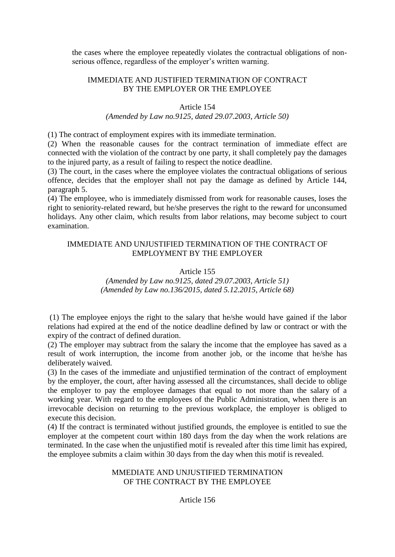the cases where the employee repeatedly violates the contractual obligations of nonserious offence, regardless of the employer's written warning.

# IMMEDIATE AND JUSTIFIED TERMINATION OF CONTRACT BY THE EMPLOYER OR THE EMPLOYEE

# Article 154

### *(Amended by Law no.9125, dated 29.07.2003, Article 50)*

(1) The contract of employment expires with its immediate termination.

(2) When the reasonable causes for the contract termination of immediate effect are connected with the violation of the contract by one party, it shall completely pay the damages to the injured party, as a result of failing to respect the notice deadline.

(3) The court, in the cases where the employee violates the contractual obligations of serious offence, decides that the employer shall not pay the damage as defined by Article 144, paragraph 5.

(4) The employee, who is immediately dismissed from work for reasonable causes, loses the right to seniority-related reward, but he/she preserves the right to the reward for unconsumed holidays. Any other claim, which results from labor relations, may become subject to court examination.

# IMMEDIATE AND UNJUSTIFIED TERMINATION OF THE CONTRACT OF EMPLOYMENT BY THE EMPLOYER

# Article 155

# *(Amended by Law no.9125, dated 29.07.2003, Article 51) (Amended by Law no.136/2015, dated 5.12.2015, Article 68)*

(1) The employee enjoys the right to the salary that he/she would have gained if the labor relations had expired at the end of the notice deadline defined by law or contract or with the expiry of the contract of defined duration.

(2) The employer may subtract from the salary the income that the employee has saved as a result of work interruption, the income from another job, or the income that he/she has deliberately waived.

(3) In the cases of the immediate and unjustified termination of the contract of employment by the employer, the court, after having assessed all the circumstances, shall decide to oblige the employer to pay the employee damages that equal to not more than the salary of a working year. With regard to the employees of the Public Administration, when there is an irrevocable decision on returning to the previous workplace, the employer is obliged to execute this decision.

(4) If the contract is terminated without justified grounds, the employee is entitled to sue the employer at the competent court within 180 days from the day when the work relations are terminated. In the case when the unjustified motif is revealed after this time limit has expired, the employee submits a claim within 30 days from the day when this motif is revealed.

# MMEDIATE AND UNJUSTIFIED TERMINATION OF THE CONTRACT BY THE EMPLOYEE

# Article 156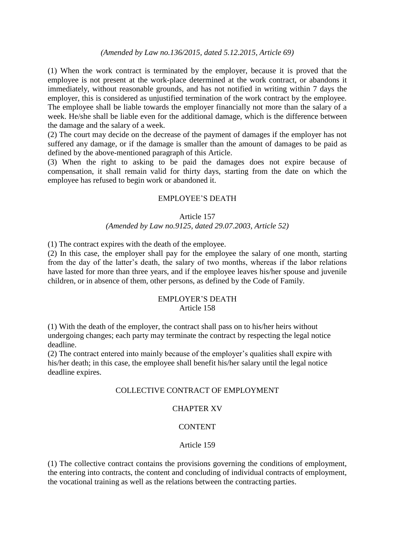# *(Amended by Law no.136/2015, dated 5.12.2015, Article 69)*

(1) When the work contract is terminated by the employer, because it is proved that the employee is not present at the work-place determined at the work contract, or abandons it immediately, without reasonable grounds, and has not notified in writing within 7 days the employer, this is considered as unjustified termination of the work contract by the employee. The employee shall be liable towards the employer financially not more than the salary of a week. He/she shall be liable even for the additional damage, which is the difference between the damage and the salary of a week.

(2) The court may decide on the decrease of the payment of damages if the employer has not suffered any damage, or if the damage is smaller than the amount of damages to be paid as defined by the above-mentioned paragraph of this Article.

(3) When the right to asking to be paid the damages does not expire because of compensation, it shall remain valid for thirty days, starting from the date on which the employee has refused to begin work or abandoned it.

## EMPLOYEE'S DEATH

#### Article 157

#### *(Amended by Law no.9125, dated 29.07.2003, Article 52)*

(1) The contract expires with the death of the employee.

(2) In this case, the employer shall pay for the employee the salary of one month, starting from the day of the latter's death, the salary of two months, whereas if the labor relations have lasted for more than three years, and if the employee leaves his/her spouse and juvenile children, or in absence of them, other persons, as defined by the Code of Family.

#### EMPLOYER'S DEATH Article 158

(1) With the death of the employer, the contract shall pass on to his/her heirs without undergoing changes; each party may terminate the contract by respecting the legal notice deadline.

(2) The contract entered into mainly because of the employer's qualities shall expire with his/her death; in this case, the employee shall benefit his/her salary until the legal notice deadline expires.

### COLLECTIVE CONTRACT OF EMPLOYMENT

# CHAPTER XV

#### CONTENT

#### Article 159

(1) The collective contract contains the provisions governing the conditions of employment, the entering into contracts, the content and concluding of individual contracts of employment, the vocational training as well as the relations between the contracting parties.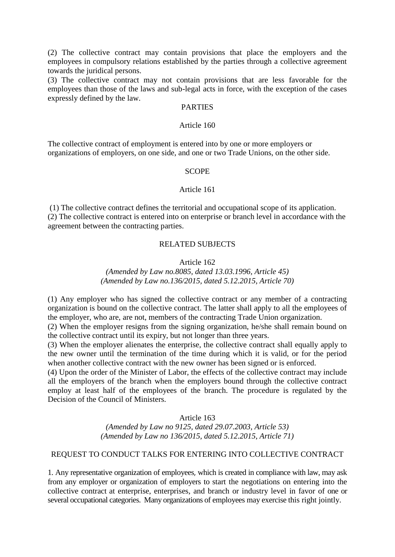(2) The collective contract may contain provisions that place the employers and the employees in compulsory relations established by the parties through a collective agreement towards the juridical persons.

(3) The collective contract may not contain provisions that are less favorable for the employees than those of the laws and sub-legal acts in force, with the exception of the cases expressly defined by the law.

## PARTIES

#### Article 160

The collective contract of employment is entered into by one or more employers or organizations of employers, on one side, and one or two Trade Unions, on the other side.

#### **SCOPE**

#### Article 161

(1) The collective contract defines the territorial and occupational scope of its application. (2) The collective contract is entered into on enterprise or branch level in accordance with the agreement between the contracting parties.

# RELATED SUBJECTS

#### Article 162

*(Amended by Law no.8085, dated 13.03.1996, Article 45) (Amended by Law no.136/2015, dated 5.12.2015, Article 70)*

(1) Any employer who has signed the collective contract or any member of a contracting organization is bound on the collective contract. The latter shall apply to all the employees of the employer, who are, are not, members of the contracting Trade Union organization.

(2) When the employer resigns from the signing organization, he/she shall remain bound on the collective contract until its expiry, but not longer than three years.

(3) When the employer alienates the enterprise, the collective contract shall equally apply to the new owner until the termination of the time during which it is valid, or for the period when another collective contract with the new owner has been signed or is enforced.

(4) Upon the order of the Minister of Labor, the effects of the collective contract may include all the employers of the branch when the employers bound through the collective contract employ at least half of the employees of the branch. The procedure is regulated by the Decision of the Council of Ministers.

### Article 163

*(Amended by Law no 9125, dated 29.07.2003, Article 53) (Amended by Law no 136/2015, dated 5.12.2015, Article 71)*

# REQUEST TO CONDUCT TALKS FOR ENTERING INTO COLLECTIVE CONTRACT

1. Any representative organization of employees, which is created in compliance with law, may ask from any employer or organization of employers to start the negotiations on entering into the collective contract at enterprise, enterprises, and branch or industry level in favor of one or several occupational categories. Many organizations of employees may exercise this right jointly.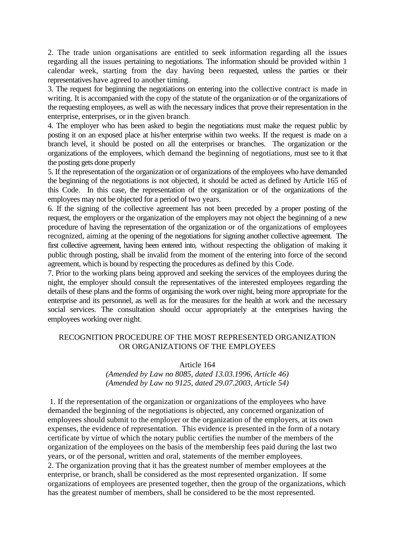2. The trade union organisations are entitled to seek information regarding all the issues regarding all the issues pertaining to negotiations. The information should be provided within 1 calendar week, starting from the day having been requested, unless the parties or their representatives have agreed to another timing.

3. The request for beginning the negotiations on entering into the collective contract is made in writing. It is accompanied with the copy of the statute of the organization or of the organizations of the requesting employees, as well as with the necessary indices that prove their representation in the enterprise, enterprises, or in the given branch.

4. The employer who has been asked to begin the negotiations must make the request public by posting it on an exposed place at his/her enterprise within two weeks. If the request is made on a branch level, it should be posted on all the enterprises or branches. The organization or the organizations of the employees, which demand the beginning of negotiations, must see to it that the posting gets done properly

5. If the representation of the organization or of organizations of the employees who have demanded the beginning of the negotiations is not objected, it should be acted as defined by Article 165 of this Code. In this case, the representation of the organization or of the organizations of the employees may not be objected for a period of two years.

6. If the signing of the collective agreement has not been preceded by a proper posting of the request, the employers or the organization of the employers may not object the beginning of a new procedure of having the representation of the organization or of the organizations of employees recognized, aiming at the opening of the negotiations for signing another collective agreement. The first collective agreement, having been entered into, without respecting the obligation of making it public through posting, shall be invalid from the moment of the entering into force of the second agreement, which is bound by respecting the procedures as defined by this Code.

7. Prior to the working plans being approved and seeking the services of the employees during the night, the employer should consult the representatives of the interested employees regarding the details of these plans and the forms of organising the work over night, being more appropriate for the enterprise and its personnel, as well as for the measures for the health at work and the necessary social services. The consultation should occur appropriately at the enterprises having the employees working over night.

# RECOGNITION PROCEDURE OF THE MOST REPRESENTED ORGANIZATION OR ORGANIZATIONS OF THE EMPLOYEES

Article 164

# *(Amended by Law no 8085, dated 13.03.1996, Article 46) (Amended by Law no 9125, dated 29.07.2003, Article 54)*

1. If the representation of the organization or organizations of the employees who have demanded the beginning of the negotiations is objected, any concerned organization of employees should submit to the employer or the organization of the employers, at its own expenses, the evidence of representation. This evidence is presented in the form of a notary certificate by virtue of which the notary public certifies the number of the members of the organization of the employees on the basis of the membership fees paid during the last two years, or of the personal, written and oral, statements of the member employees. 2. The organization proving that it has the greatest number of member employees at the enterprise, or branch, shall be considered as the most represented organization. If some organizations of employees are presented together, then the group of the organizations, which has the greatest number of members, shall be considered to be the most represented.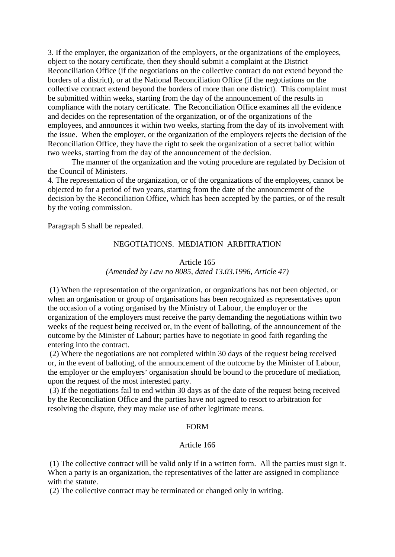3. If the employer, the organization of the employers, or the organizations of the employees, object to the notary certificate, then they should submit a complaint at the District Reconciliation Office (if the negotiations on the collective contract do not extend beyond the borders of a district), or at the National Reconciliation Office (if the negotiations on the collective contract extend beyond the borders of more than one district). This complaint must be submitted within weeks, starting from the day of the announcement of the results in compliance with the notary certificate. The Reconciliation Office examines all the evidence and decides on the representation of the organization, or of the organizations of the employees, and announces it within two weeks, starting from the day of its involvement with the issue. When the employer, or the organization of the employers rejects the decision of the Reconciliation Office, they have the right to seek the organization of a secret ballot within two weeks, starting from the day of the announcement of the decision.

The manner of the organization and the voting procedure are regulated by Decision of the Council of Ministers.

4. The representation of the organization, or of the organizations of the employees, cannot be objected to for a period of two years, starting from the date of the announcement of the decision by the Reconciliation Office, which has been accepted by the parties, or of the result by the voting commission.

Paragraph 5 shall be repealed.

# NEGOTIATIONS. MEDIATION ARBITRATION

#### Article 165 *(Amended by Law no 8085, dated 13.03.1996, Article 47)*

(1) When the representation of the organization, or organizations has not been objected, or when an organisation or group of organisations has been recognized as representatives upon the occasion of a voting organised by the Ministry of Labour, the employer or the organization of the employers must receive the party demanding the negotiations within two weeks of the request being received or, in the event of balloting, of the announcement of the outcome by the Minister of Labour; parties have to negotiate in good faith regarding the entering into the contract.

(2) Where the negotiations are not completed within 30 days of the request being received or, in the event of balloting, of the announcement of the outcome by the Minister of Labour, the employer or the employers' organisation should be bound to the procedure of mediation, upon the request of the most interested party.

(3) If the negotiations fail to end within 30 days as of the date of the request being received by the Reconciliation Office and the parties have not agreed to resort to arbitration for resolving the dispute, they may make use of other legitimate means.

#### FORM

# Article 166

(1) The collective contract will be valid only if in a written form. All the parties must sign it. When a party is an organization, the representatives of the latter are assigned in compliance with the statute.

(2) The collective contract may be terminated or changed only in writing.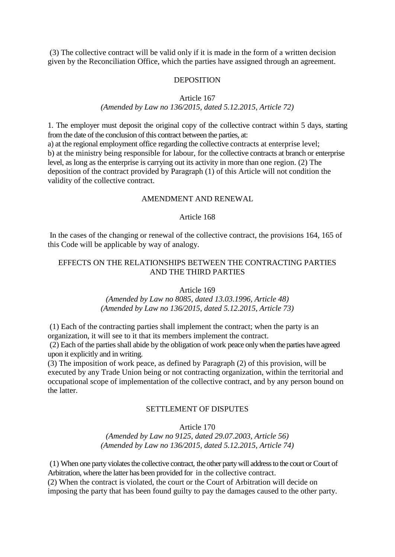(3) The collective contract will be valid only if it is made in the form of a written decision given by the Reconciliation Office, which the parties have assigned through an agreement.

## **DEPOSITION**

Article 167

## *(Amended by Law no 136/2015, dated 5.12.2015, Article 72)*

1. The employer must deposit the original copy of the collective contract within 5 days, starting from the date of the conclusion of this contract between the parties, at: a) at the regional employment office regarding the collective contracts at enterprise level; b) at the ministry being responsible for labour, for the collective contracts at branch or enterprise level, as long as the enterprise is carrying out its activity in more than one region. (2) The deposition of the contract provided by Paragraph (1) of this Article will not condition the validity of the collective contract.

## AMENDMENT AND RENEWAL

# Article 168

In the cases of the changing or renewal of the collective contract, the provisions 164, 165 of this Code will be applicable by way of analogy.

## EFFECTS ON THE RELATIONSHIPS BETWEEN THE CONTRACTING PARTIES AND THE THIRD PARTIES

Article 169

*(Amended by Law no 8085, dated 13.03.1996, Article 48) (Amended by Law no 136/2015, dated 5.12.2015, Article 73)*

(1) Each of the contracting parties shall implement the contract; when the party is an organization, it will see to it that its members implement the contract.

(2) Each of the parties shall abide by the obligation of work peace only when the parties have agreed upon it explicitly and in writing.

(3) The imposition of work peace, as defined by Paragraph (2) of this provision, will be executed by any Trade Union being or not contracting organization, within the territorial and occupational scope of implementation of the collective contract, and by any person bound on the latter.

# SETTLEMENT OF DISPUTES

#### Article 170

*(Amended by Law no 9125, dated 29.07.2003, Article 56) (Amended by Law no 136/2015, dated 5.12.2015, Article 74)*

(1) When one party violates the collective contract, the other party will address to the court or Court of Arbitration, where the latter has been provided for in the collective contract. (2) When the contract is violated, the court or the Court of Arbitration will decide on

imposing the party that has been found guilty to pay the damages caused to the other party.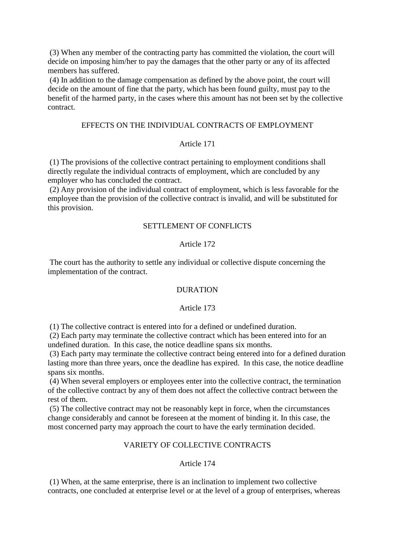(3) When any member of the contracting party has committed the violation, the court will decide on imposing him/her to pay the damages that the other party or any of its affected members has suffered.

(4) In addition to the damage compensation as defined by the above point, the court will decide on the amount of fine that the party, which has been found guilty, must pay to the benefit of the harmed party, in the cases where this amount has not been set by the collective contract.

#### EFFECTS ON THE INDIVIDUAL CONTRACTS OF EMPLOYMENT

# Article 171

(1) The provisions of the collective contract pertaining to employment conditions shall directly regulate the individual contracts of employment, which are concluded by any employer who has concluded the contract.

(2) Any provision of the individual contract of employment, which is less favorable for the employee than the provision of the collective contract is invalid, and will be substituted for this provision.

# SETTLEMENT OF CONFLICTS

# Article 172

The court has the authority to settle any individual or collective dispute concerning the implementation of the contract.

#### DURATION

## Article 173

(1) The collective contract is entered into for a defined or undefined duration.

(2) Each party may terminate the collective contract which has been entered into for an undefined duration. In this case, the notice deadline spans six months.

(3) Each party may terminate the collective contract being entered into for a defined duration lasting more than three years, once the deadline has expired. In this case, the notice deadline spans six months.

(4) When several employers or employees enter into the collective contract, the termination of the collective contract by any of them does not affect the collective contract between the rest of them.

(5) The collective contract may not be reasonably kept in force, when the circumstances change considerably and cannot be foreseen at the moment of binding it. In this case, the most concerned party may approach the court to have the early termination decided.

# VARIETY OF COLLECTIVE CONTRACTS

## Article 174

(1) When, at the same enterprise, there is an inclination to implement two collective contracts, one concluded at enterprise level or at the level of a group of enterprises, whereas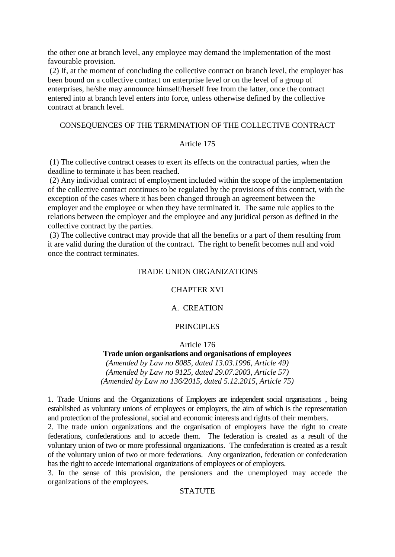the other one at branch level, any employee may demand the implementation of the most favourable provision.

(2) If, at the moment of concluding the collective contract on branch level, the employer has been bound on a collective contract on enterprise level or on the level of a group of enterprises, he/she may announce himself/herself free from the latter, once the contract entered into at branch level enters into force, unless otherwise defined by the collective contract at branch level.

## CONSEQUENCES OF THE TERMINATION OF THE COLLECTIVE CONTRACT

# Article 175

(1) The collective contract ceases to exert its effects on the contractual parties, when the deadline to terminate it has been reached.

(2) Any individual contract of employment included within the scope of the implementation of the collective contract continues to be regulated by the provisions of this contract, with the exception of the cases where it has been changed through an agreement between the employer and the employee or when they have terminated it. The same rule applies to the relations between the employer and the employee and any juridical person as defined in the collective contract by the parties.

(3) The collective contract may provide that all the benefits or a part of them resulting from it are valid during the duration of the contract. The right to benefit becomes null and void once the contract terminates.

## TRADE UNION ORGANIZATIONS

#### CHAPTER XVI

## A. CREATION

## PRINCIPLES

Article 176

## **Trade union organisations and organisations of employees**

*(Amended by Law no 8085, dated 13.03.1996, Article 49) (Amended by Law no 9125, dated 29.07.2003, Article 57) (Amended by Law no 136/2015, dated 5.12.2015, Article 75)*

1. Trade Unions and the Organizations of Employers are independent social organisations , being established as voluntary unions of employees or employers, the aim of which is the representation and protection of the professional, social and economic interests and rights of their members.

2. The trade union organizations and the organisation of employers have the right to create federations, confederations and to accede them. The federation is created as a result of the voluntary union of two or more professional organizations. The confederation is created as a result of the voluntary union of two or more federations. Any organization, federation or confederation has the right to accede international organizations of employees or of employers.

3. In the sense of this provision, the pensioners and the unemployed may accede the organizations of the employees.

# **STATUTE**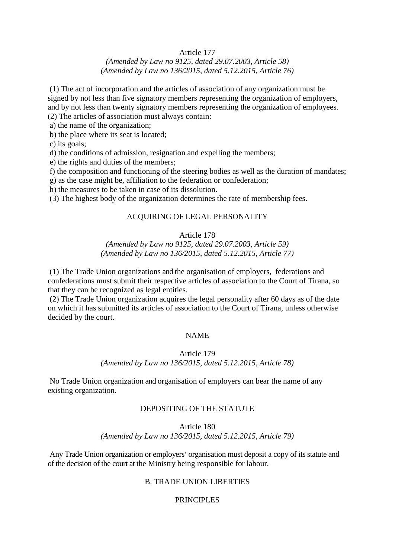## Article 177

# *(Amended by Law no 9125, dated 29.07.2003, Article 58) (Amended by Law no 136/2015, dated 5.12.2015, Article 76)*

(1) The act of incorporation and the articles of association of any organization must be signed by not less than five signatory members representing the organization of employers, and by not less than twenty signatory members representing the organization of employees.

- (2) The articles of association must always contain:
- a) the name of the organization;
- b) the place where its seat is located;

c) its goals;

d) the conditions of admission, resignation and expelling the members;

e) the rights and duties of the members;

f) the composition and functioning of the steering bodies as well as the duration of mandates;

g) as the case might be, affiliation to the federation or confederation;

h) the measures to be taken in case of its dissolution.

(3) The highest body of the organization determines the rate of membership fees.

# ACQUIRING OF LEGAL PERSONALITY

# Article 178

## *(Amended by Law no 9125, dated 29.07.2003, Article 59) (Amended by Law no 136/2015, dated 5.12.2015, Article 77)*

(1) The Trade Union organizations and the organisation of employers, federations and confederations must submit their respective articles of association to the Court of Tirana, so that they can be recognized as legal entities.

(2) The Trade Union organization acquires the legal personality after 60 days as of the date on which it has submitted its articles of association to the Court of Tirana, unless otherwise decided by the court.

#### NAME

# Article 179 *(Amended by Law no 136/2015, dated 5.12.2015, Article 78)*

No Trade Union organization and organisation of employers can bear the name of any existing organization.

#### DEPOSITING OF THE STATUTE

### Article 180 *(Amended by Law no 136/2015, dated 5.12.2015, Article 79)*

Any Trade Union organization or employers' organisation must deposit a copy of its statute and of the decision of the court at the Ministry being responsible for labour.

## B. TRADE UNION LIBERTIES

#### PRINCIPLES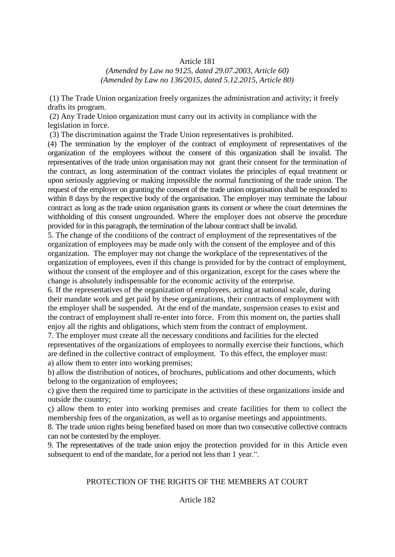# Article 181

*(Amended by Law no 9125, dated 29.07.2003, Article 60) (Amended by Law no 136/2015, dated 5.12.2015, Article 80)*

(1) The Trade Union organization freely organizes the administration and activity; it freely drafts its program.

(2) Any Trade Union organization must carry out its activity in compliance with the legislation in force.

(3) The discrimination against the Trade Union representatives is prohibited.

(4) The termination by the employer of the contract of employment of representatives of the organization of the employees without the consent of this organization shall be invalid. The representatives of the trade union organisation may not grant their consent for the termination of the contract, as long astermination of the contract violates the principles of equal treatment or upon seriously aggrieving or making impossible the normal functioning of the trade union. The request of the employer on granting the consent of the trade union organisation shall be responded to within 8 days by the respective body of the organisation. The employer may terminate the labour contract as long as the trade union organisation grants its consent or where the court determines the withholding of this consent ungrounded. Where the employer does not observe the procedure provided for in this paragraph, the termination of the labour contract shall be invalid.

5. The change of the conditions of the contract of employment of the representatives of the organization of employees may be made only with the consent of the employee and of this organization. The employer may not change the workplace of the representatives of the organization of employees, even if this change is provided for by the contract of employment, without the consent of the employee and of this organization, except for the cases where the change is absolutely indispensable for the economic activity of the enterprise.

6. If the representatives of the organization of employees, acting at national scale, during their mandate work and get paid by these organizations, their contracts of employment with the employer shall be suspended. At the end of the mandate, suspension ceases to exist and the contract of employment shall re-enter into force. From this moment on, the parties shall enjoy all the rights and obligations, which stem from the contract of employment.

7. The employer must create all the necessary conditions and facilities for the elected representatives of the organizations of employees to normally exercise their functions, which are defined in the collective contract of employment. To this effect, the employer must: a) allow them to enter into working premises;

b) allow the distribution of notices, of brochures, publications and other documents, which belong to the organization of employees;

c) give them the required time to participate in the activities of these organizations inside and outside the country;

ç) allow them to enter into working premises and create facilities for them to collect the membership fees of the organization, as well as to organise meetings and appointments.

8. The trade union rights being benefited based on more than two consecutive collective contracts can not be contested by the employer.

9. The representatives of the trade union enjoy the protection provided for in this Article even subsequent to end of the mandate, for a period not less than 1 year.".

# PROTECTION OF THE RIGHTS OF THE MEMBERS AT COURT

## Article 182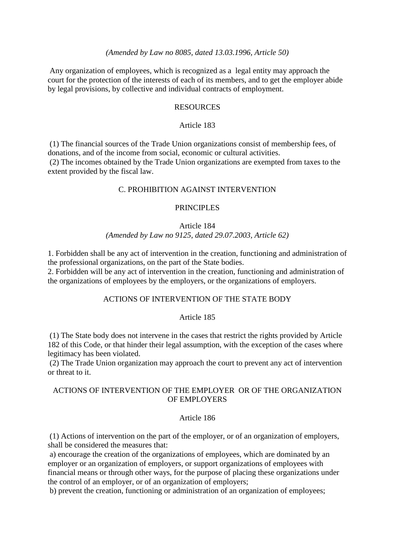## *(Amended by Law no 8085, dated 13.03.1996, Article 50)*

Any organization of employees, which is recognized as a legal entity may approach the court for the protection of the interests of each of its members, and to get the employer abide by legal provisions, by collective and individual contracts of employment.

### **RESOURCES**

### Article 183

(1) The financial sources of the Trade Union organizations consist of membership fees, of donations, and of the income from social, economic or cultural activities.

(2) The incomes obtained by the Trade Union organizations are exempted from taxes to the extent provided by the fiscal law.

## C. PROHIBITION AGAINST INTERVENTION

## PRINCIPLES

#### Article 184

## *(Amended by Law no 9125, dated 29.07.2003, Article 62)*

1. Forbidden shall be any act of intervention in the creation, functioning and administration of the professional organizations, on the part of the State bodies.

2. Forbidden will be any act of intervention in the creation, functioning and administration of the organizations of employees by the employers, or the organizations of employers.

## ACTIONS OF INTERVENTION OF THE STATE BODY

# Article 185

(1) The State body does not intervene in the cases that restrict the rights provided by Article 182 of this Code, or that hinder their legal assumption, with the exception of the cases where legitimacy has been violated.

(2) The Trade Union organization may approach the court to prevent any act of intervention or threat to it.

# ACTIONS OF INTERVENTION OF THE EMPLOYER OR OF THE ORGANIZATION OF EMPLOYERS

### Article 186

(1) Actions of intervention on the part of the employer, or of an organization of employers, shall be considered the measures that:

a) encourage the creation of the organizations of employees, which are dominated by an employer or an organization of employers, or support organizations of employees with financial means or through other ways, for the purpose of placing these organizations under the control of an employer, or of an organization of employers;

b) prevent the creation, functioning or administration of an organization of employees;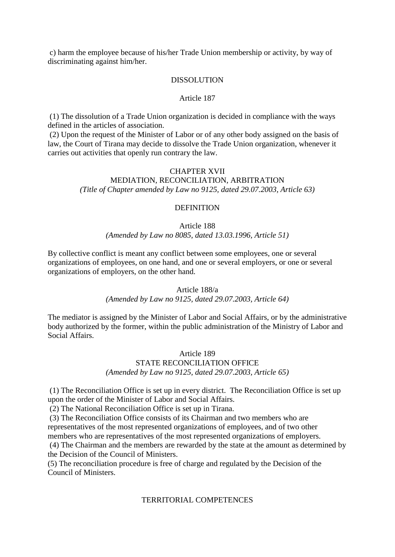c) harm the employee because of his/her Trade Union membership or activity, by way of discriminating against him/her.

#### DISSOLUTION

### Article 187

(1) The dissolution of a Trade Union organization is decided in compliance with the ways defined in the articles of association.

(2) Upon the request of the Minister of Labor or of any other body assigned on the basis of law, the Court of Tirana may decide to dissolve the Trade Union organization, whenever it carries out activities that openly run contrary the law.

### CHAPTER XVII

# MEDIATION, RECONCILIATION, ARBITRATION *(Title of Chapter amended by Law no 9125, dated 29.07.2003, Article 63)*

## **DEFINITION**

# Article 188 *(Amended by Law no 8085, dated 13.03.1996, Article 51)*

By collective conflict is meant any conflict between some employees, one or several organizations of employees, on one hand, and one or several employers, or one or several organizations of employers, on the other hand.

# Article 188/a

#### *(Amended by Law no 9125, dated 29.07.2003, Article 64)*

The mediator is assigned by the Minister of Labor and Social Affairs, or by the administrative body authorized by the former, within the public administration of the Ministry of Labor and Social Affairs.

# Article 189 STATE RECONCILIATION OFFICE *(Amended by Law no 9125, dated 29.07.2003, Article 65)*

(1) The Reconciliation Office is set up in every district. The Reconciliation Office is set up upon the order of the Minister of Labor and Social Affairs.

(2) The National Reconciliation Office is set up in Tirana.

(3) The Reconciliation Office consists of its Chairman and two members who are representatives of the most represented organizations of employees, and of two other members who are representatives of the most represented organizations of employers.

(4) The Chairman and the members are rewarded by the state at the amount as determined by the Decision of the Council of Ministers.

(5) The reconciliation procedure is free of charge and regulated by the Decision of the Council of Ministers.

### TERRITORIAL COMPETENCES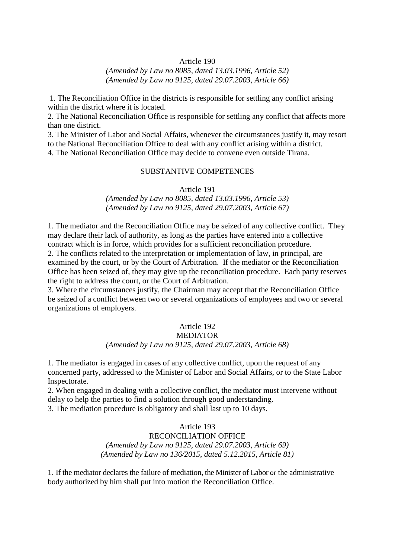### Article 190

# *(Amended by Law no 8085, dated 13.03.1996, Article 52) (Amended by Law no 9125, dated 29.07.2003, Article 66)*

1. The Reconciliation Office in the districts is responsible for settling any conflict arising within the district where it is located.

2. The National Reconciliation Office is responsible for settling any conflict that affects more than one district.

3. The Minister of Labor and Social Affairs, whenever the circumstances justify it, may resort to the National Reconciliation Office to deal with any conflict arising within a district. 4. The National Reconciliation Office may decide to convene even outside Tirana.

#### SUBSTANTIVE COMPETENCES

Article 191

*(Amended by Law no 8085, dated 13.03.1996, Article 53) (Amended by Law no 9125, dated 29.07.2003, Article 67)*

1. The mediator and the Reconciliation Office may be seized of any collective conflict. They may declare their lack of authority, as long as the parties have entered into a collective contract which is in force, which provides for a sufficient reconciliation procedure. 2. The conflicts related to the interpretation or implementation of law, in principal, are examined by the court, or by the Court of Arbitration. If the mediator or the Reconciliation Office has been seized of, they may give up the reconciliation procedure. Each party reserves the right to address the court, or the Court of Arbitration.

3. Where the circumstances justify, the Chairman may accept that the Reconciliation Office be seized of a conflict between two or several organizations of employees and two or several organizations of employers.

# Article 192

### MEDIATOR *(Amended by Law no 9125, dated 29.07.2003, Article 68)*

1. The mediator is engaged in cases of any collective conflict, upon the request of any concerned party, addressed to the Minister of Labor and Social Affairs, or to the State Labor Inspectorate.

2. When engaged in dealing with a collective conflict, the mediator must intervene without delay to help the parties to find a solution through good understanding.

3. The mediation procedure is obligatory and shall last up to 10 days.

# Article 193 RECONCILIATION OFFICE *(Amended by Law no 9125, dated 29.07.2003, Article 69) (Amended by Law no 136/2015, dated 5.12.2015, Article 81)*

1. If the mediator declares the failure of mediation, the Minister of Labor or the administrative body authorized by him shall put into motion the Reconciliation Office.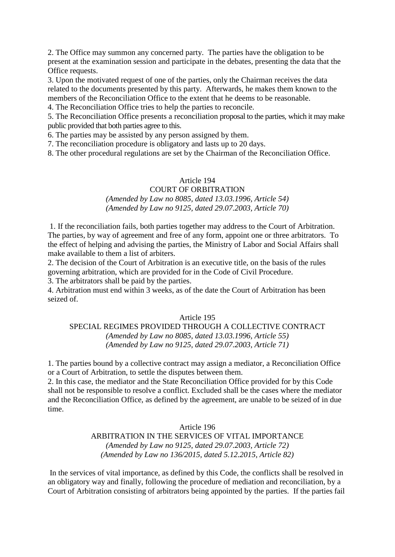2. The Office may summon any concerned party. The parties have the obligation to be present at the examination session and participate in the debates, presenting the data that the Office requests.

3. Upon the motivated request of one of the parties, only the Chairman receives the data related to the documents presented by this party. Afterwards, he makes them known to the members of the Reconciliation Office to the extent that he deems to be reasonable.

4. The Reconciliation Office tries to help the parties to reconcile.

5. The Reconciliation Office presents a reconciliation proposal to the parties, which it may make public provided that both parties agree to this.

6. The parties may be assisted by any person assigned by them.

7. The reconciliation procedure is obligatory and lasts up to 20 days.

8. The other procedural regulations are set by the Chairman of the Reconciliation Office.

## Article 194

# COURT OF ORBITRATION *(Amended by Law no 8085, dated 13.03.1996, Article 54) (Amended by Law no 9125, dated 29.07.2003, Article 70)*

1. If the reconciliation fails, both parties together may address to the Court of Arbitration. The parties, by way of agreement and free of any form, appoint one or three arbitrators. To the effect of helping and advising the parties, the Ministry of Labor and Social Affairs shall make available to them a list of arbiters.

2. The decision of the Court of Arbitration is an executive title, on the basis of the rules governing arbitration, which are provided for in the Code of Civil Procedure.

3. The arbitrators shall be paid by the parties.

4. Arbitration must end within 3 weeks, as of the date the Court of Arbitration has been seized of.

#### Article 195

SPECIAL REGIMES PROVIDED THROUGH A COLLECTIVE CONTRACT *(Amended by Law no 8085, dated 13.03.1996, Article 55) (Amended by Law no 9125, dated 29.07.2003, Article 71)*

1. The parties bound by a collective contract may assign a mediator, a Reconciliation Office or a Court of Arbitration, to settle the disputes between them.

2. In this case, the mediator and the State Reconciliation Office provided for by this Code shall not be responsible to resolve a conflict. Excluded shall be the cases where the mediator and the Reconciliation Office, as defined by the agreement, are unable to be seized of in due time.

### Article 196

ARBITRATION IN THE SERVICES OF VITAL IMPORTANCE *(Amended by Law no 9125, dated 29.07.2003, Article 72) (Amended by Law no 136/2015, dated 5.12.2015, Article 82)*

In the services of vital importance, as defined by this Code, the conflicts shall be resolved in an obligatory way and finally, following the procedure of mediation and reconciliation, by a Court of Arbitration consisting of arbitrators being appointed by the parties. If the parties fail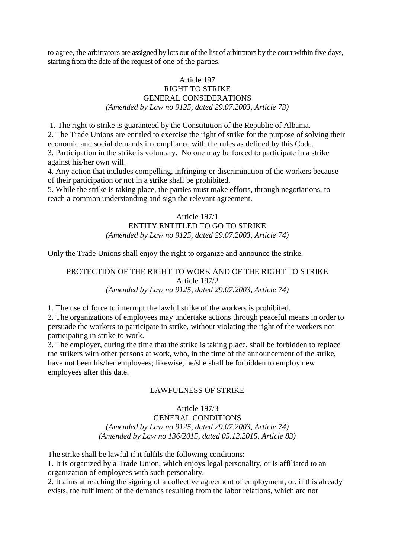to agree, the arbitrators are assigned by lots out of the list of arbitrators by the court within five days, starting from the date of the request of one of the parties.

# Article 197 RIGHT TO STRIKE GENERAL CONSIDERATIONS *(Amended by Law no 9125, dated 29.07.2003, Article 73)*

1. The right to strike is guaranteed by the Constitution of the Republic of Albania.

2. The Trade Unions are entitled to exercise the right of strike for the purpose of solving their economic and social demands in compliance with the rules as defined by this Code.

3. Participation in the strike is voluntary. No one may be forced to participate in a strike against his/her own will.

4. Any action that includes compelling, infringing or discrimination of the workers because of their participation or not in a strike shall be prohibited.

5. While the strike is taking place, the parties must make efforts, through negotiations, to reach a common understanding and sign the relevant agreement.

## Article 197/1

## ENTITY ENTITLED TO GO TO STRIKE *(Amended by Law no 9125, dated 29.07.2003, Article 74)*

Only the Trade Unions shall enjoy the right to organize and announce the strike.

# PROTECTION OF THE RIGHT TO WORK AND OF THE RIGHT TO STRIKE Article 197/2 *(Amended by Law no 9125, dated 29.07.2003, Article 74)*

1. The use of force to interrupt the lawful strike of the workers is prohibited.

2. The organizations of employees may undertake actions through peaceful means in order to persuade the workers to participate in strike, without violating the right of the workers not participating in strike to work.

3. The employer, during the time that the strike is taking place, shall be forbidden to replace the strikers with other persons at work, who, in the time of the announcement of the strike, have not been his/her employees; likewise, he/she shall be forbidden to employ new employees after this date.

# LAWFULNESS OF STRIKE

Article 197/3

GENERAL CONDITIONS *(Amended by Law no 9125, dated 29.07.2003, Article 74) (Amended by Law no 136/2015, dated 05.12.2015, Article 83)*

The strike shall be lawful if it fulfils the following conditions:

1. It is organized by a Trade Union, which enjoys legal personality, or is affiliated to an organization of employees with such personality.

2. It aims at reaching the signing of a collective agreement of employment, or, if this already exists, the fulfilment of the demands resulting from the labor relations, which are not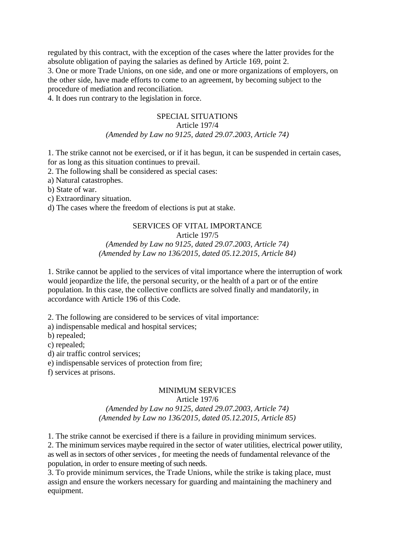regulated by this contract, with the exception of the cases where the latter provides for the absolute obligation of paying the salaries as defined by Article 169, point 2.

3. One or more Trade Unions, on one side, and one or more organizations of employers, on the other side, have made efforts to come to an agreement, by becoming subject to the procedure of mediation and reconciliation.

4. It does run contrary to the legislation in force.

#### SPECIAL SITUATIONS

## Article 197/4

## *(Amended by Law no 9125, dated 29.07.2003, Article 74)*

1. The strike cannot not be exercised, or if it has begun, it can be suspended in certain cases, for as long as this situation continues to prevail.

2. The following shall be considered as special cases:

- a) Natural catastrophes.
- b) State of war.
- c) Extraordinary situation.

d) The cases where the freedom of elections is put at stake.

# SERVICES OF VITAL IMPORTANCE

# Article 197/5

## *(Amended by Law no 9125, dated 29.07.2003, Article 74) (Amended by Law no 136/2015, dated 05.12.2015, Article 84)*

1. Strike cannot be applied to the services of vital importance where the interruption of work would jeopardize the life, the personal security, or the health of a part or of the entire population. In this case, the collective conflicts are solved finally and mandatorily, in accordance with Article 196 of this Code.

2. The following are considered to be services of vital importance:

a) indispensable medical and hospital services;

b) repealed;

c) repealed;

d) air traffic control services;

e) indispensable services of protection from fire;

f) services at prisons.

# MINIMUM SERVICES

### Article 197/6 *(Amended by Law no 9125, dated 29.07.2003, Article 74) (Amended by Law no 136/2015, dated 05.12.2015, Article 85)*

1. The strike cannot be exercised if there is a failure in providing minimum services. 2. The minimum services maybe required in the sector of water utilities, electrical power utility, as well as in sectors of other services , for meeting the needs of fundamental relevance of the population, in order to ensure meeting of such needs.

3. To provide minimum services, the Trade Unions, while the strike is taking place, must assign and ensure the workers necessary for guarding and maintaining the machinery and equipment.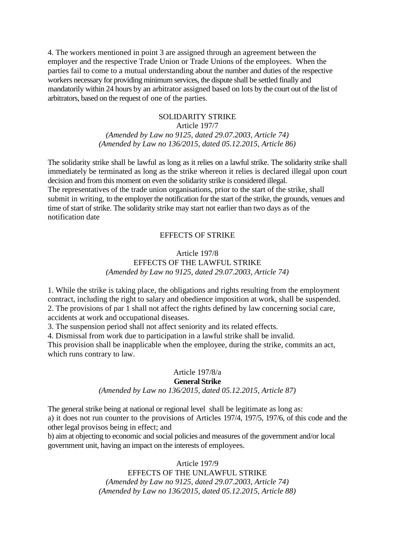4. The workers mentioned in point 3 are assigned through an agreement between the employer and the respective Trade Union or Trade Unions of the employees. When the parties fail to come to a mutual understanding about the number and duties of the respective workers necessary for providing minimum services, the dispute shall be settled finally and mandatorily within 24 hours by an arbitrator assigned based on lots by the court out of the list of arbitrators, based on the request of one of the parties.

#### SOLIDARITY STRIKE

Article 197/7 *(Amended by Law no 9125, dated 29.07.2003, Article 74) (Amended by Law no 136/2015, dated 05.12.2015, Article 86)*

The solidarity strike shall be lawful as long as it relies on a lawful strike. The solidarity strike shall immediately be terminated as long as the strike whereon it relies is declared illegal upon court decision and from this moment on even the solidarity strike is considered illegal.

The representatives of the trade union organisations, prior to the start of the strike, shall submit in writing, to the employer the notification for the start of the strike, the grounds, venues and time of start of strike. The solidarity strike may start not earlier than two days as of the notification date

### EFFECTS OF STRIKE

### Article 197/8 EFFECTS OF THE LAWFUL STRIKE *(Amended by Law no 9125, dated 29.07.2003, Article 74)*

1. While the strike is taking place, the obligations and rights resulting from the employment contract, including the right to salary and obedience imposition at work, shall be suspended. 2. The provisions of par 1 shall not affect the rights defined by law concerning social care, accidents at work and occupational diseases.

3. The suspension period shall not affect seniority and its related effects.

4. Dismissal from work due to participation in a lawful strike shall be invalid.

This provision shall be inapplicable when the employee, during the strike, commits an act, which runs contrary to law.

# Article 197/8/a **General Strike**

*(Amended by Law no 136/2015, dated 05.12.2015, Article 87)*

The general strike being at national or regional level shall be legitimate as long as: a) it does not run counter to the provisions of Articles 197/4, 197/5, 197/6, of this code and the other legal provisos being in effect; and

b) aim at objecting to economic and social policies and measures of the government and/or local government unit, having an impact on the interests of employees.

> Article 197/9 EFFECTS OF THE UNLAWFUL STRIKE *(Amended by Law no 9125, dated 29.07.2003, Article 74) (Amended by Law no 136/2015, dated 05.12.2015, Article 88)*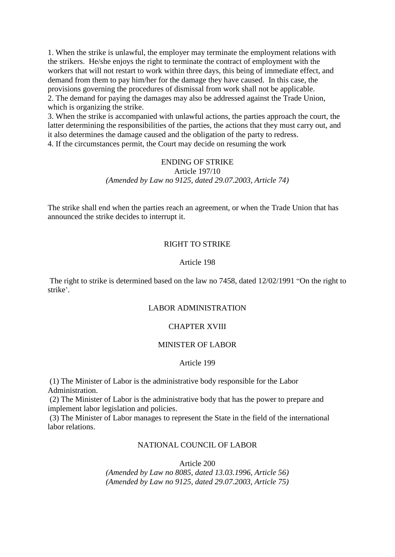1. When the strike is unlawful, the employer may terminate the employment relations with the strikers. He/she enjoys the right to terminate the contract of employment with the workers that will not restart to work within three days, this being of immediate effect, and demand from them to pay him/her for the damage they have caused. In this case, the provisions governing the procedures of dismissal from work shall not be applicable. 2. The demand for paying the damages may also be addressed against the Trade Union, which is organizing the strike.

3. When the strike is accompanied with unlawful actions, the parties approach the court, the latter determining the responsibilities of the parties, the actions that they must carry out, and it also determines the damage caused and the obligation of the party to redress. 4. If the circumstances permit, the Court may decide on resuming the work

### ENDING OF STRIKE Article 197/10 *(Amended by Law no 9125, dated 29.07.2003, Article 74)*

The strike shall end when the parties reach an agreement, or when the Trade Union that has announced the strike decides to interrupt it.

### RIGHT TO STRIKE

#### Article 198

The right to strike is determined based on the law no 7458, dated 12/02/1991 "On the right to strike'.

#### LABOR ADMINISTRATION

### CHAPTER XVIII

### MINISTER OF LABOR

#### Article 199

(1) The Minister of Labor is the administrative body responsible for the Labor Administration.

(2) The Minister of Labor is the administrative body that has the power to prepare and implement labor legislation and policies.

(3) The Minister of Labor manages to represent the State in the field of the international labor relations.

### NATIONAL COUNCIL OF LABOR

Article 200 *(Amended by Law no 8085, dated 13.03.1996, Article 56) (Amended by Law no 9125, dated 29.07.2003, Article 75)*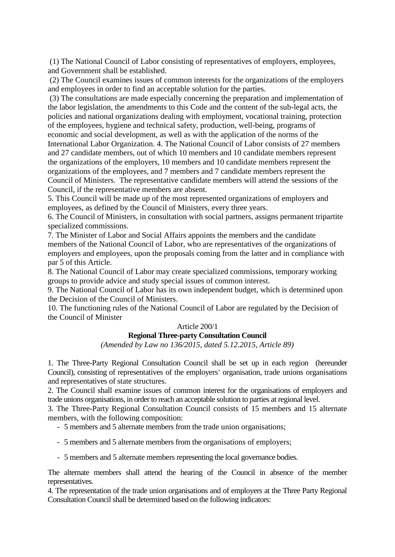(1) The National Council of Labor consisting of representatives of employers, employees, and Government shall be established.

(2) The Council examines issues of common interests for the organizations of the employers and employees in order to find an acceptable solution for the parties.

(3) The consultations are made especially concerning the preparation and implementation of the labor legislation, the amendments to this Code and the content of the sub-legal acts, the policies and national organizations dealing with employment, vocational training, protection of the employees, hygiene and technical safety, production, well-being, programs of economic and social development, as well as with the application of the norms of the International Labor Organization. 4. The National Council of Labor consists of 27 members and 27 candidate members, out of which 10 members and 10 candidate members represent the organizations of the employers, 10 members and 10 candidate members represent the organizations of the employees, and 7 members and 7 candidate members represent the Council of Ministers. The representative candidate members will attend the sessions of the Council, if the representative members are absent.

5. This Council will be made up of the most represented organizations of employers and employees, as defined by the Council of Ministers, every three years.

6. The Council of Ministers, in consultation with social partners, assigns permanent tripartite specialized commissions.

7. The Minister of Labor and Social Affairs appoints the members and the candidate members of the National Council of Labor, who are representatives of the organizations of employers and employees, upon the proposals coming from the latter and in compliance with par 5 of this Article.

8. The National Council of Labor may create specialized commissions, temporary working groups to provide advice and study special issues of common interest.

9. The National Council of Labor has its own independent budget, which is determined upon the Decision of the Council of Ministers.

10. The functioning rules of the National Council of Labor are regulated by the Decision of the Council of Minister

### Article 200/1

## **Regional Three-party Consultation Council**

*(Amended by Law no 136/2015, dated 5.12.2015, Article 89)*

1. The Three-Party Regional Consultation Council shall be set up in each region (hereunder Council), consisting of representatives of the employers' organisation, trade unions organisations and representatives of state structures.

2. The Council shall examine issues of common interest for the organisations of employers and trade unions organisations, in order to reach an acceptable solution to parties at regional level.

3. The Three-Party Regional Consultation Council consists of 15 members and 15 alternate members, with the following composition:

- 5 members and 5 alternate members from the trade union organisations;

- 5 members and 5 alternate members from the organisations of employers;
- 5 members and 5 alternate members representing the local governance bodies.

The alternate members shall attend the hearing of the Council in absence of the member representatives.

4. The representation of the trade union organisations and of employers at the Three Party Regional Consultation Council shall be determined based on the following indicators: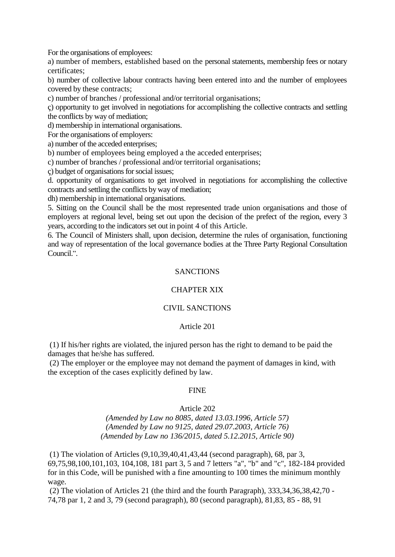For the organisations of employees:

a) number of members, established based on the personal statements, membership fees or notary certificates;

b) number of collective labour contracts having been entered into and the number of employees covered by these contracts;

c) number of branches / professional and/or territorial organisations;

ç) opportunity to get involved in negotiations for accomplishing the collective contracts and settling the conflicts by way of mediation;

d) membership in international organisations.

For the organisations of employers:

a) number of the acceded enterprises;

b) number of employees being employed a the acceded enterprises;

c) number of branches / professional and/or territorial organisations;

ç) budget of organisations for social issues;

d. opportunity of organisations to get involved in negotiations for accomplishing the collective contracts and settling the conflicts by way of mediation;

dh) membership in international organisations.

5. Sitting on the Council shall be the most represented trade union organisations and those of employers at regional level, being set out upon the decision of the prefect of the region, every 3 years, according to the indicators set out in point 4 of this Article.

6. The Council of Ministers shall, upon decision, determine the rules of organisation, functioning and way of representation of the local governance bodies at the Three Party Regional Consultation Council."

### **SANCTIONS**

### CHAPTER XIX

### CIVIL SANCTIONS

#### Article 201

(1) If his/her rights are violated, the injured person has the right to demand to be paid the damages that he/she has suffered.

(2) The employer or the employee may not demand the payment of damages in kind, with the exception of the cases explicitly defined by law.

#### FINE

#### Article 202

*(Amended by Law no 8085, dated 13.03.1996, Article 57) (Amended by Law no 9125, dated 29.07.2003, Article 76) (Amended by Law no 136/2015, dated 5.12.2015, Article 90)*

(1) The violation of Articles (9,10,39,40,41,43,44 (second paragraph), 68, par 3, 69,75,98,100,101,103, 104,108, 181 part 3, 5 and 7 letters "a", "b" and "c", 182-184 provided for in this Code, will be punished with a fine amounting to 100 times the minimum monthly wage.

(2) The violation of Articles 21 (the third and the fourth Paragraph), 333,34,36,38,42,70 - 74,78 par 1, 2 and 3, 79 (second paragraph), 80 (second paragraph), 81,83, 85 - 88, 91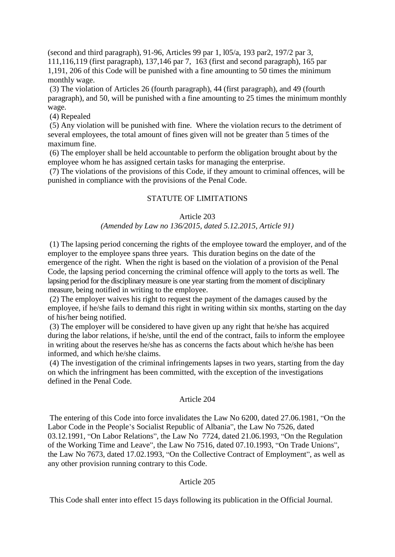(second and third paragraph), 91-96, Articles 99 par 1, l05/a, 193 par2, 197/2 par 3, 111,116,119 (first paragraph), 137,146 par 7, 163 (first and second paragraph), 165 par 1,191, 206 of this Code will be punished with a fine amounting to 50 times the minimum monthly wage.

(3) The violation of Articles 26 (fourth paragraph), 44 (first paragraph), and 49 (fourth paragraph), and 50, will be punished with a fine amounting to 25 times the minimum monthly wage.

(4) Repealed

(5) Any violation will be punished with fine. Where the violation recurs to the detriment of several employees, the total amount of fines given will not be greater than 5 times of the maximum fine.

(6) The employer shall be held accountable to perform the obligation brought about by the employee whom he has assigned certain tasks for managing the enterprise.

(7) The violations of the provisions of this Code, if they amount to criminal offences, will be punished in compliance with the provisions of the Penal Code.

### STATUTE OF LIMITATIONS

#### Article 203

#### *(Amended by Law no 136/2015, dated 5.12.2015, Article 91)*

(1) The lapsing period concerning the rights of the employee toward the employer, and of the employer to the employee spans three years. This duration begins on the date of the emergence of the right. When the right is based on the violation of a provision of the Penal Code, the lapsing period concerning the criminal offence will apply to the torts as well. The lapsing period for the disciplinary measure is one year starting from the moment of disciplinary measure, being notified in writing to the employee.

(2) The employer waives his right to request the payment of the damages caused by the employee, if he/she fails to demand this right in writing within six months, starting on the day of his/her being notified.

(3) The employer will be considered to have given up any right that he/she has acquired during the labor relations, if he/she, until the end of the contract, fails to inform the employee in writing about the reserves he/she has as concerns the facts about which he/she has been informed, and which he/she claims.

(4) The investigation of the criminal infringements lapses in two years, starting from the day on which the infringment has been committed, with the exception of the investigations defined in the Penal Code.

#### Article 204

The entering of this Code into force invalidates the Law No 6200, dated 27.06.1981, "On the Labor Code in the People's Socialist Republic of Albania", the Law No 7526, dated 03.12.1991, "On Labor Relations", the Law No 7724, dated 21.06.1993, "On the Regulation of the Working Time and Leave", the Law No 7516, dated 07.10.1993, "On Trade Unions", the Law No 7673, dated 17.02.1993, "On the Collective Contract of Employment", as well as any other provision running contrary to this Code.

### Article 205

This Code shall enter into effect 15 days following its publication in the Official Journal.